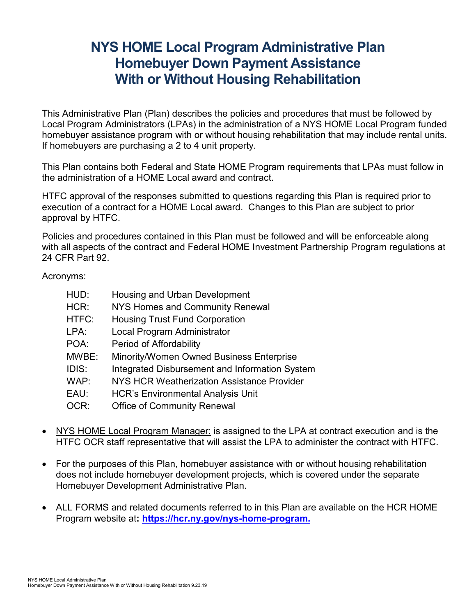## **NYS HOME Local Program Administrative Plan Homebuyer Down Payment Assistance With or Without Housing Rehabilitation**

This Administrative Plan (Plan) describes the policies and procedures that must be followed by Local Program Administrators (LPAs) in the administration of a NYS HOME Local Program funded homebuyer assistance program with or without housing rehabilitation that may include rental units. If homebuyers are purchasing a 2 to 4 unit property.

This Plan contains both Federal and State HOME Program requirements that LPAs must follow in the administration of a HOME Local award and contract.

HTFC approval of the responses submitted to questions regarding this Plan is required prior to execution of a contract for a HOME Local award. Changes to this Plan are subject to prior approval by HTFC.

Policies and procedures contained in this Plan must be followed and will be enforceable along with all aspects of the contract and Federal HOME Investment Partnership Program regulations at 24 CFR Part 92.

Acronyms:

| HUD:  | Housing and Urban Development                     |
|-------|---------------------------------------------------|
| HCR:  | <b>NYS Homes and Community Renewal</b>            |
| HTFC: | <b>Housing Trust Fund Corporation</b>             |
| LPA:  | Local Program Administrator                       |
| POA:  | Period of Affordability                           |
| MWBE: | Minority/Women Owned Business Enterprise          |
| IDIS: | Integrated Disbursement and Information System    |
| WAP:  | <b>NYS HCR Weatherization Assistance Provider</b> |
| EAU:  | <b>HCR's Environmental Analysis Unit</b>          |
| OCR:  | <b>Office of Community Renewal</b>                |
|       |                                                   |

- NYS HOME Local Program Manager: is assigned to the LPA at contract execution and is the HTFC OCR staff representative that will assist the LPA to administer the contract with HTFC.
- For the purposes of this Plan, homebuyer assistance with or without housing rehabilitation does not include homebuyer development projects, which is covered under the separate Homebuyer Development Administrative Plan.
- ALL FORMS and related documents referred to in this Plan are available on the HCR HOME Program website at**: https://hcr.ny.gov/nys-home-program.**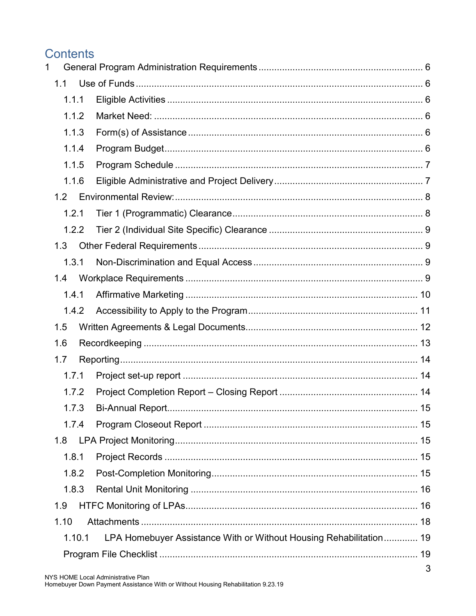## **Contents**

| 1.1    |                                                                    |  |
|--------|--------------------------------------------------------------------|--|
| 1.1.1  |                                                                    |  |
| 1.1.2  |                                                                    |  |
| 1.1.3  |                                                                    |  |
| 1.1.4  |                                                                    |  |
| 1.1.5  |                                                                    |  |
| 1.1.6  |                                                                    |  |
| 1.2    |                                                                    |  |
| 1.2.1  |                                                                    |  |
| 1.2.2  |                                                                    |  |
| 1.3    |                                                                    |  |
| 1.3.1  |                                                                    |  |
| 1.4    |                                                                    |  |
| 1.4.1  |                                                                    |  |
| 1.4.2  |                                                                    |  |
| 1.5    |                                                                    |  |
| 1.6    |                                                                    |  |
| 1.7    |                                                                    |  |
| 1.7.1  |                                                                    |  |
| 1.7.2  |                                                                    |  |
| 1.7.3  |                                                                    |  |
| 1.7.4  |                                                                    |  |
| 1.8    |                                                                    |  |
| 1.8.1  |                                                                    |  |
| 1.8.2  |                                                                    |  |
| 1.8.3  |                                                                    |  |
| 1.9    |                                                                    |  |
| 1.10   |                                                                    |  |
| 1.10.1 | LPA Homebuyer Assistance With or Without Housing Rehabilitation 19 |  |
|        |                                                                    |  |
|        |                                                                    |  |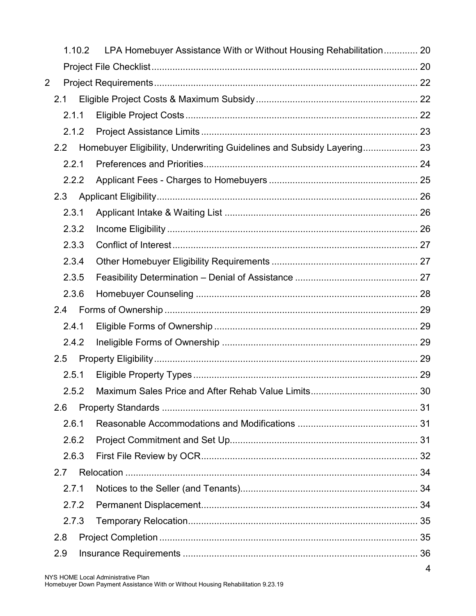|                | 1.10.2 | LPA Homebuyer Assistance With or Without Housing Rehabilitation 20     |           |
|----------------|--------|------------------------------------------------------------------------|-----------|
|                |        |                                                                        |           |
| $\overline{2}$ |        |                                                                        |           |
|                | 2.1    |                                                                        |           |
|                | 2.1.1  |                                                                        |           |
|                | 2.1.2  |                                                                        |           |
|                | 2.2    | Homebuyer Eligibility, Underwriting Guidelines and Subsidy Layering 23 |           |
|                | 2.2.1  |                                                                        |           |
|                | 2.2.2  |                                                                        |           |
|                | 2.3    |                                                                        |           |
|                | 2.3.1  |                                                                        |           |
|                | 2.3.2  |                                                                        |           |
|                | 2.3.3  |                                                                        |           |
|                | 2.3.4  |                                                                        |           |
|                | 2.3.5  |                                                                        |           |
|                | 2.3.6  |                                                                        |           |
|                | 2.4    |                                                                        |           |
|                | 2.4.1  |                                                                        |           |
|                | 2.4.2  |                                                                        |           |
|                | 2.5    |                                                                        |           |
|                | 2.5.1  |                                                                        |           |
|                |        |                                                                        |           |
|                | 2.6    |                                                                        |           |
|                | 2.6.1  |                                                                        |           |
|                | 2.6.2  |                                                                        |           |
|                | 2.6.3  |                                                                        |           |
|                | 2.7    |                                                                        |           |
|                | 2.7.1  |                                                                        |           |
|                | 2.7.2  |                                                                        |           |
|                | 2.7.3  |                                                                        |           |
|                | 2.8    |                                                                        |           |
|                | 2.9    |                                                                        |           |
|                |        |                                                                        | $\Lambda$ |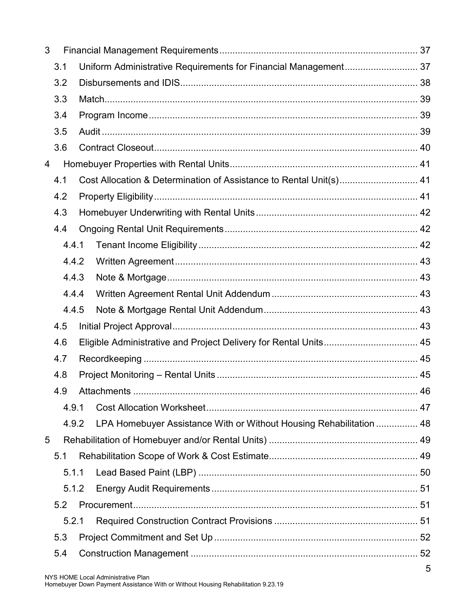| 3 |       |                                                                 |                                                                     |   |  |  |  |
|---|-------|-----------------------------------------------------------------|---------------------------------------------------------------------|---|--|--|--|
|   | 3.1   | Uniform Administrative Requirements for Financial Management 37 |                                                                     |   |  |  |  |
|   | 3.2   |                                                                 |                                                                     |   |  |  |  |
|   | 3.3   |                                                                 |                                                                     |   |  |  |  |
|   | 3.4   |                                                                 |                                                                     |   |  |  |  |
|   | 3.5   |                                                                 |                                                                     |   |  |  |  |
|   | 3.6   |                                                                 |                                                                     |   |  |  |  |
| 4 |       |                                                                 |                                                                     |   |  |  |  |
|   | 4.1   |                                                                 | Cost Allocation & Determination of Assistance to Rental Unit(s) 41  |   |  |  |  |
|   | 4.2   |                                                                 |                                                                     |   |  |  |  |
|   | 4.3   |                                                                 |                                                                     |   |  |  |  |
|   | 4.4   |                                                                 |                                                                     |   |  |  |  |
|   | 4.4.1 |                                                                 |                                                                     |   |  |  |  |
|   | 4.4.2 |                                                                 |                                                                     |   |  |  |  |
|   | 4.4.3 |                                                                 |                                                                     |   |  |  |  |
|   | 4.4.4 |                                                                 |                                                                     |   |  |  |  |
|   | 4.4.5 |                                                                 |                                                                     |   |  |  |  |
|   | 4.5   |                                                                 |                                                                     |   |  |  |  |
|   | 4.6   |                                                                 | Eligible Administrative and Project Delivery for Rental Units 45    |   |  |  |  |
|   | 4.7   |                                                                 |                                                                     |   |  |  |  |
|   | 4.8   |                                                                 |                                                                     |   |  |  |  |
|   | 4.9   |                                                                 |                                                                     |   |  |  |  |
|   | 4.9.1 |                                                                 |                                                                     |   |  |  |  |
|   | 4.9.2 |                                                                 | LPA Homebuyer Assistance With or Without Housing Rehabilitation  48 |   |  |  |  |
| 5 |       |                                                                 |                                                                     |   |  |  |  |
|   | 5.1   |                                                                 |                                                                     |   |  |  |  |
|   | 5.1.1 |                                                                 |                                                                     |   |  |  |  |
|   | 5.1.2 |                                                                 |                                                                     |   |  |  |  |
|   | 5.2   |                                                                 |                                                                     |   |  |  |  |
|   | 5.2.1 |                                                                 |                                                                     |   |  |  |  |
|   | 5.3   |                                                                 |                                                                     |   |  |  |  |
|   | 5.4   |                                                                 |                                                                     |   |  |  |  |
|   |       |                                                                 |                                                                     | 5 |  |  |  |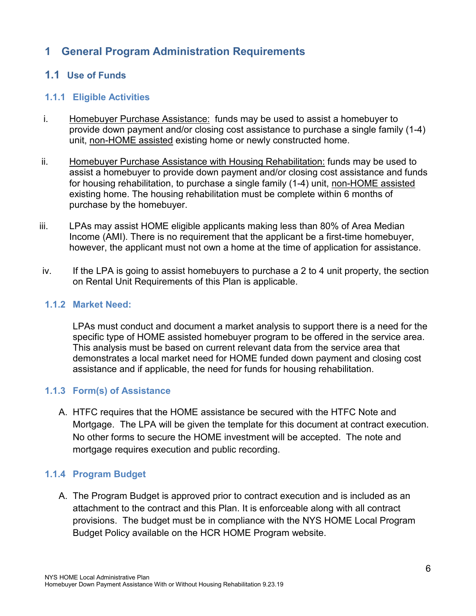## <span id="page-5-0"></span>**1 General Program Administration Requirements**

#### <span id="page-5-1"></span>**1.1 Use of Funds**

#### <span id="page-5-2"></span>**1.1.1 Eligible Activities**

- i. Homebuyer Purchase Assistance: funds may be used to assist a homebuyer to provide down payment and/or closing cost assistance to purchase a single family (1-4) unit, non-HOME assisted existing home or newly constructed home.
- ii. Homebuyer Purchase Assistance with Housing Rehabilitation: funds may be used to assist a homebuyer to provide down payment and/or closing cost assistance and funds for housing rehabilitation, to purchase a single family (1-4) unit, non-HOME assisted existing home. The housing rehabilitation must be complete within 6 months of purchase by the homebuyer.
- iii. LPAs may assist HOME eligible applicants making less than 80% of Area Median Income (AMI). There is no requirement that the applicant be a first-time homebuyer, however, the applicant must not own a home at the time of application for assistance.
- iv. If the LPA is going to assist homebuyers to purchase a 2 to 4 unit property, the section on Rental Unit Requirements of this Plan is applicable.

#### <span id="page-5-3"></span>**1.1.2 Market Need:**

LPAs must conduct and document a market analysis to support there is a need for the specific type of HOME assisted homebuyer program to be offered in the service area. This analysis must be based on current relevant data from the service area that demonstrates a local market need for HOME funded down payment and closing cost assistance and if applicable, the need for funds for housing rehabilitation.

#### <span id="page-5-4"></span>**1.1.3 Form(s) of Assistance**

A. HTFC requires that the HOME assistance be secured with the HTFC Note and Mortgage. The LPA will be given the template for this document at contract execution. No other forms to secure the HOME investment will be accepted. The note and mortgage requires execution and public recording.

#### <span id="page-5-5"></span>**1.1.4 Program Budget**

A. The Program Budget is approved prior to contract execution and is included as an attachment to the contract and this Plan. It is enforceable along with all contract provisions. The budget must be in compliance with the NYS HOME Local Program Budget Policy available on the HCR HOME Program website.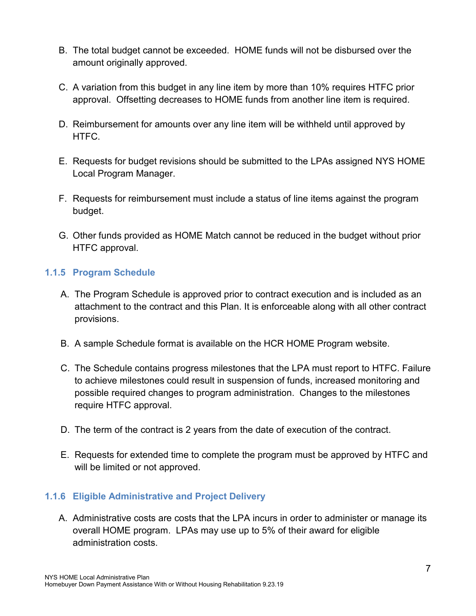- B. The total budget cannot be exceeded. HOME funds will not be disbursed over the amount originally approved.
- C. A variation from this budget in any line item by more than 10% requires HTFC prior approval. Offsetting decreases to HOME funds from another line item is required.
- D. Reimbursement for amounts over any line item will be withheld until approved by HTFC.
- E. Requests for budget revisions should be submitted to the LPAs assigned NYS HOME Local Program Manager.
- F. Requests for reimbursement must include a status of line items against the program budget.
- G. Other funds provided as HOME Match cannot be reduced in the budget without prior HTFC approval.

#### <span id="page-6-0"></span>**1.1.5 Program Schedule**

- A. The Program Schedule is approved prior to contract execution and is included as an attachment to the contract and this Plan. It is enforceable along with all other contract provisions.
- B. A sample Schedule format is available on the HCR HOME Program website.
- C. The Schedule contains progress milestones that the LPA must report to HTFC. Failure to achieve milestones could result in suspension of funds, increased monitoring and possible required changes to program administration. Changes to the milestones require HTFC approval.
- D. The term of the contract is 2 years from the date of execution of the contract.
- E. Requests for extended time to complete the program must be approved by HTFC and will be limited or not approved.

#### <span id="page-6-1"></span>**1.1.6 Eligible Administrative and Project Delivery**

A. Administrative costs are costs that the LPA incurs in order to administer or manage its overall HOME program. LPAs may use up to 5% of their award for eligible administration costs.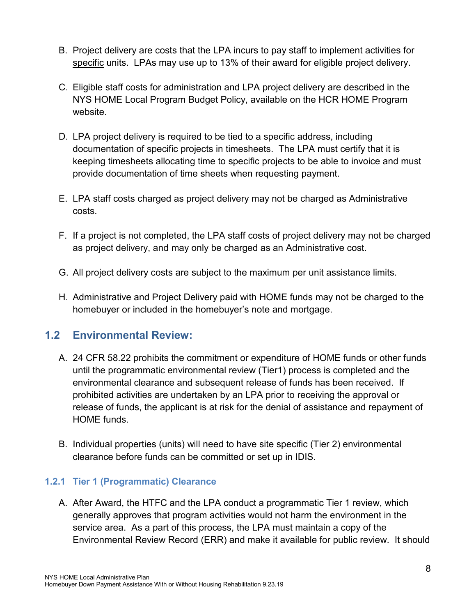- B. Project delivery are costs that the LPA incurs to pay staff to implement activities for specific units. LPAs may use up to 13% of their award for eligible project delivery.
- C. Eligible staff costs for administration and LPA project delivery are described in the NYS HOME Local Program Budget Policy, available on the HCR HOME Program website.
- D. LPA project delivery is required to be tied to a specific address, including documentation of specific projects in timesheets. The LPA must certify that it is keeping timesheets allocating time to specific projects to be able to invoice and must provide documentation of time sheets when requesting payment.
- E. LPA staff costs charged as project delivery may not be charged as Administrative costs.
- F. If a project is not completed, the LPA staff costs of project delivery may not be charged as project delivery, and may only be charged as an Administrative cost.
- G. All project delivery costs are subject to the maximum per unit assistance limits.
- H. Administrative and Project Delivery paid with HOME funds may not be charged to the homebuyer or included in the homebuyer's note and mortgage.

## <span id="page-7-0"></span>**1.2 Environmental Review:**

- A. 24 CFR 58.22 prohibits the commitment or expenditure of HOME funds or other funds until the programmatic environmental review (Tier1) process is completed and the environmental clearance and subsequent release of funds has been received. If prohibited activities are undertaken by an LPA prior to receiving the approval or release of funds, the applicant is at risk for the denial of assistance and repayment of HOME funds.
- B. Individual properties (units) will need to have site specific (Tier 2) environmental clearance before funds can be committed or set up in IDIS.

#### <span id="page-7-1"></span>**1.2.1 Tier 1 (Programmatic) Clearance**

A. After Award, the HTFC and the LPA conduct a programmatic Tier 1 review, which generally approves that program activities would not harm the environment in the service area. As a part of this process, the LPA must maintain a copy of the Environmental Review Record (ERR) and make it available for public review. It should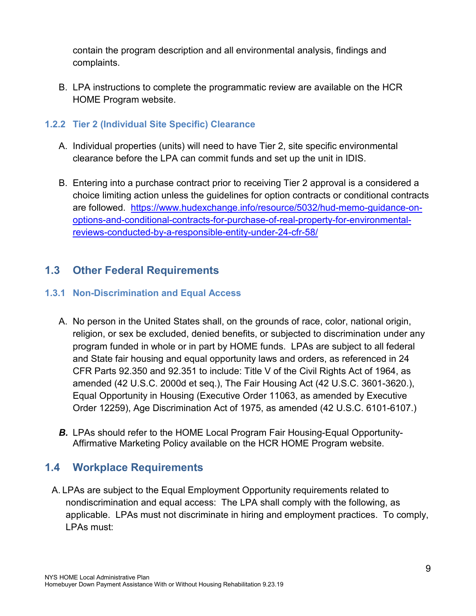contain the program description and all environmental analysis, findings and complaints.

B. LPA instructions to complete the programmatic review are available on the HCR HOME Program website.

#### <span id="page-8-0"></span>**1.2.2 Tier 2 (Individual Site Specific) Clearance**

- A. Individual properties (units) will need to have Tier 2, site specific environmental clearance before the LPA can commit funds and set up the unit in IDIS.
- B. Entering into a purchase contract prior to receiving Tier 2 approval is a considered a choice limiting action unless the guidelines for option contracts or conditional contracts are followed. [https://www.hudexchange.info/resource/5032/hud-memo-guidance-on](https://www.hudexchange.info/resource/5032/hud-memo-guidance-on-options-and-conditional-contracts-for-purchase-of-real-property-for-environmental-reviews-conducted-by-a-responsible-entity-under-24-cfr-58/)[options-and-conditional-contracts-for-purchase-of-real-property-for-environmental](https://www.hudexchange.info/resource/5032/hud-memo-guidance-on-options-and-conditional-contracts-for-purchase-of-real-property-for-environmental-reviews-conducted-by-a-responsible-entity-under-24-cfr-58/)[reviews-conducted-by-a-responsible-entity-under-24-cfr-58/](https://www.hudexchange.info/resource/5032/hud-memo-guidance-on-options-and-conditional-contracts-for-purchase-of-real-property-for-environmental-reviews-conducted-by-a-responsible-entity-under-24-cfr-58/)

## <span id="page-8-1"></span>**1.3 Other Federal Requirements**

#### <span id="page-8-2"></span>**1.3.1 Non-Discrimination and Equal Access**

- A. No person in the United States shall, on the grounds of race, color, national origin, religion, or sex be excluded, denied benefits, or subjected to discrimination under any program funded in whole or in part by HOME funds. LPAs are subject to all federal and State fair housing and equal opportunity laws and orders, as referenced in 24 CFR Parts 92.350 and 92.351 to include: Title V of the Civil Rights Act of 1964, as amended (42 U.S.C. 2000d et seq.), The Fair Housing Act (42 U.S.C. 3601-3620.), Equal Opportunity in Housing (Executive Order 11063, as amended by Executive Order 12259), Age Discrimination Act of 1975, as amended (42 U.S.C. 6101-6107.)
- *B.* LPAs should refer to the HOME Local Program Fair Housing-Equal Opportunity-Affirmative Marketing Policy available on the HCR HOME Program website.

## <span id="page-8-3"></span>**1.4 Workplace Requirements**

A. LPAs are subject to the Equal Employment Opportunity requirements related to nondiscrimination and equal access: The LPA shall comply with the following, as applicable. LPAs must not discriminate in hiring and employment practices. To comply, LPAs must: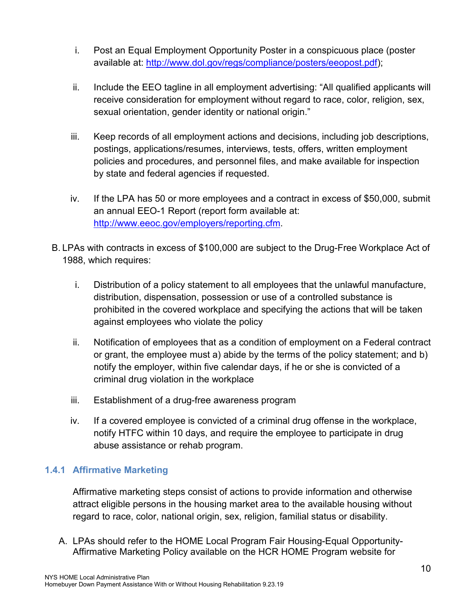- i. Post an Equal Employment Opportunity Poster in a conspicuous place (poster available at: [http://www.dol.gov/regs/compliance/posters/eeopost.pdf\)](http://www.dol.gov/regs/compliance/posters/eeopost.pdf);
- ii. Include the EEO tagline in all employment advertising: "All qualified applicants will receive consideration for employment without regard to race, color, religion, sex, sexual orientation, gender identity or national origin."
- iii. Keep records of all employment actions and decisions, including job descriptions, postings, applications/resumes, interviews, tests, offers, written employment policies and procedures, and personnel files, and make available for inspection by state and federal agencies if requested.
- iv. If the LPA has 50 or more employees and a contract in excess of \$50,000, submit an annual EEO-1 Report (report form available at: [http://www.eeoc.gov/employers/reporting.cfm.](http://www.eeoc.gov/employers/reporting.cfm)
- B. LPAs with contracts in excess of \$100,000 are subject to the Drug-Free Workplace Act of 1988, which requires:
	- i. Distribution of a policy statement to all employees that the unlawful manufacture, distribution, dispensation, possession or use of a controlled substance is prohibited in the covered workplace and specifying the actions that will be taken against employees who violate the policy
	- ii. Notification of employees that as a condition of employment on a Federal contract or grant, the employee must a) abide by the terms of the policy statement; and b) notify the employer, within five calendar days, if he or she is convicted of a criminal drug violation in the workplace
	- iii. Establishment of a drug-free awareness program
	- iv. If a covered employee is convicted of a criminal drug offense in the workplace, notify HTFC within 10 days, and require the employee to participate in drug abuse assistance or rehab program.

#### <span id="page-9-0"></span>**1.4.1 Affirmative Marketing**

Affirmative marketing steps consist of actions to provide information and otherwise attract eligible persons in the housing market area to the available housing without regard to race, color, national origin, sex, religion, familial status or disability.

A. LPAs should refer to the HOME Local Program Fair Housing-Equal Opportunity-Affirmative Marketing Policy available on the HCR HOME Program website for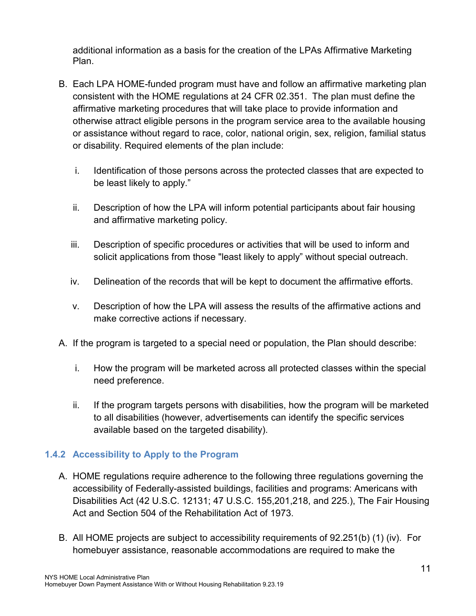additional information as a basis for the creation of the LPAs Affirmative Marketing Plan.

- B. Each LPA HOME-funded program must have and follow an affirmative marketing plan consistent with the HOME regulations at 24 CFR 02.351. The plan must define the affirmative marketing procedures that will take place to provide information and otherwise attract eligible persons in the program service area to the available housing or assistance without regard to race, color, national origin, sex, religion, familial status or disability. Required elements of the plan include:
	- i. Identification of those persons across the protected classes that are expected to be least likely to apply."
	- ii. Description of how the LPA will inform potential participants about fair housing and affirmative marketing policy.
	- iii. Description of specific procedures or activities that will be used to inform and solicit applications from those "least likely to apply" without special outreach.
	- iv. Delineation of the records that will be kept to document the affirmative efforts.
	- v. Description of how the LPA will assess the results of the affirmative actions and make corrective actions if necessary.
- A. If the program is targeted to a special need or population, the Plan should describe:
	- i. How the program will be marketed across all protected classes within the special need preference.
	- ii. If the program targets persons with disabilities, how the program will be marketed to all disabilities (however, advertisements can identify the specific services available based on the targeted disability).

#### <span id="page-10-0"></span>**1.4.2 Accessibility to Apply to the Program**

- A. HOME regulations require adherence to the following three regulations governing the accessibility of Federally-assisted buildings, facilities and programs: Americans with Disabilities Act (42 U.S.C. 12131; 47 U.S.C. 155,201,218, and 225.), The Fair Housing Act and Section 504 of the Rehabilitation Act of 1973.
- B. All HOME projects are subject to accessibility requirements of 92.251(b) (1) (iv). For homebuyer assistance, reasonable accommodations are required to make the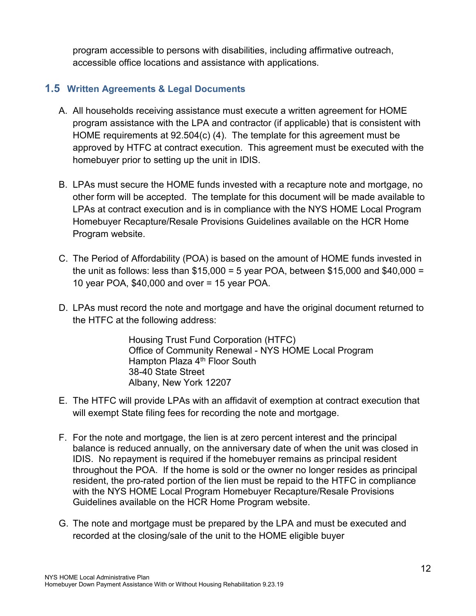program accessible to persons with disabilities, including affirmative outreach, accessible office locations and assistance with applications.

#### <span id="page-11-0"></span>**1.5 Written Agreements & Legal Documents**

- A. All households receiving assistance must execute a written agreement for HOME program assistance with the LPA and contractor (if applicable) that is consistent with HOME requirements at 92.504(c) (4). The template for this agreement must be approved by HTFC at contract execution. This agreement must be executed with the homebuyer prior to setting up the unit in IDIS.
- B. LPAs must secure the HOME funds invested with a recapture note and mortgage, no other form will be accepted. The template for this document will be made available to LPAs at contract execution and is in compliance with the NYS HOME Local Program Homebuyer Recapture/Resale Provisions Guidelines available on the HCR Home Program website.
- C. The Period of Affordability (POA) is based on the amount of HOME funds invested in the unit as follows: less than  $$15,000 = 5$  year POA, between  $$15,000$  and  $$40,000 =$ 10 year POA, \$40,000 and over = 15 year POA.
- D. LPAs must record the note and mortgage and have the original document returned to the HTFC at the following address:

Housing Trust Fund Corporation (HTFC) Office of Community Renewal - NYS HOME Local Program Hampton Plaza 4<sup>th</sup> Floor South 38-40 State Street Albany, New York 12207

- E. The HTFC will provide LPAs with an affidavit of exemption at contract execution that will exempt State filing fees for recording the note and mortgage.
- F. For the note and mortgage, the lien is at zero percent interest and the principal balance is reduced annually, on the anniversary date of when the unit was closed in IDIS. No repayment is required if the homebuyer remains as principal resident throughout the POA. If the home is sold or the owner no longer resides as principal resident, the pro-rated portion of the lien must be repaid to the HTFC in compliance with the NYS HOME Local Program Homebuyer Recapture/Resale Provisions Guidelines available on the HCR Home Program website.
- G. The note and mortgage must be prepared by the LPA and must be executed and recorded at the closing/sale of the unit to the HOME eligible buyer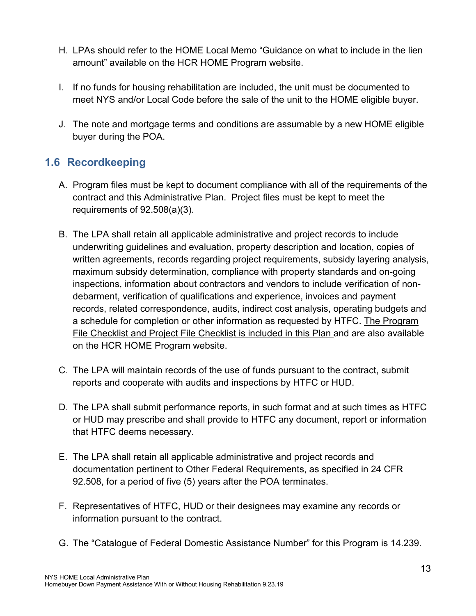- H. LPAs should refer to the HOME Local Memo "Guidance on what to include in the lien amount" available on the HCR HOME Program website.
- I. If no funds for housing rehabilitation are included, the unit must be documented to meet NYS and/or Local Code before the sale of the unit to the HOME eligible buyer.
- J. The note and mortgage terms and conditions are assumable by a new HOME eligible buyer during the POA.

## <span id="page-12-0"></span>**1.6 Recordkeeping**

- A. Program files must be kept to document compliance with all of the requirements of the contract and this Administrative Plan. Project files must be kept to meet the requirements of 92.508(a)(3).
- B. The LPA shall retain all applicable administrative and project records to include underwriting guidelines and evaluation, property description and location, copies of written agreements, records regarding project requirements, subsidy layering analysis, maximum subsidy determination, compliance with property standards and on-going inspections, information about contractors and vendors to include verification of nondebarment, verification of qualifications and experience, invoices and payment records, related correspondence, audits, indirect cost analysis, operating budgets and a schedule for completion or other information as requested by HTFC. The Program File Checklist and Project File Checklist is included in this Plan and are also available on the HCR HOME Program website.
- C. The LPA will maintain records of the use of funds pursuant to the contract, submit reports and cooperate with audits and inspections by HTFC or HUD.
- D. The LPA shall submit performance reports, in such format and at such times as HTFC or HUD may prescribe and shall provide to HTFC any document, report or information that HTFC deems necessary.
- E. The LPA shall retain all applicable administrative and project records and documentation pertinent to Other Federal Requirements, as specified in 24 CFR 92.508, for a period of five (5) years after the POA terminates.
- F. Representatives of HTFC, HUD or their designees may examine any records or information pursuant to the contract.
- G. The "Catalogue of Federal Domestic Assistance Number" for this Program is 14.239.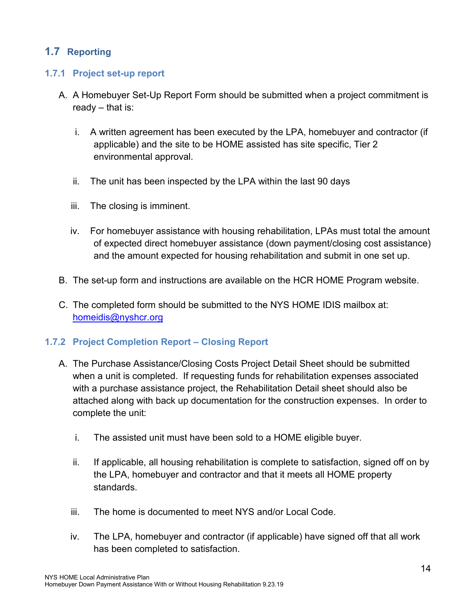## <span id="page-13-0"></span>**1.7 Reporting**

#### <span id="page-13-1"></span>**1.7.1 Project set-up report**

- A. A Homebuyer Set-Up Report Form should be submitted when a project commitment is ready – that is:
	- i. A written agreement has been executed by the LPA, homebuyer and contractor (if applicable) and the site to be HOME assisted has site specific, Tier 2 environmental approval.
	- ii. The unit has been inspected by the LPA within the last 90 days
	- iii. The closing is imminent.
	- iv. For homebuyer assistance with housing rehabilitation, LPAs must total the amount of expected direct homebuyer assistance (down payment/closing cost assistance) and the amount expected for housing rehabilitation and submit in one set up.
- B. The set-up form and instructions are available on the HCR HOME Program website.
- C. The completed form should be submitted to the NYS HOME IDIS mailbox at: [homeidis@nyshcr.org](mailto:homeidis@nyshcr.org)

#### <span id="page-13-2"></span>**1.7.2 Project Completion Report – Closing Report**

- A. The Purchase Assistance/Closing Costs Project Detail Sheet should be submitted when a unit is completed. If requesting funds for rehabilitation expenses associated with a purchase assistance project, the Rehabilitation Detail sheet should also be attached along with back up documentation for the construction expenses. In order to complete the unit:
	- i. The assisted unit must have been sold to a HOME eligible buyer.
	- ii. If applicable, all housing rehabilitation is complete to satisfaction, signed off on by the LPA, homebuyer and contractor and that it meets all HOME property standards.
	- iii. The home is documented to meet NYS and/or Local Code.
	- iv. The LPA, homebuyer and contractor (if applicable) have signed off that all work has been completed to satisfaction.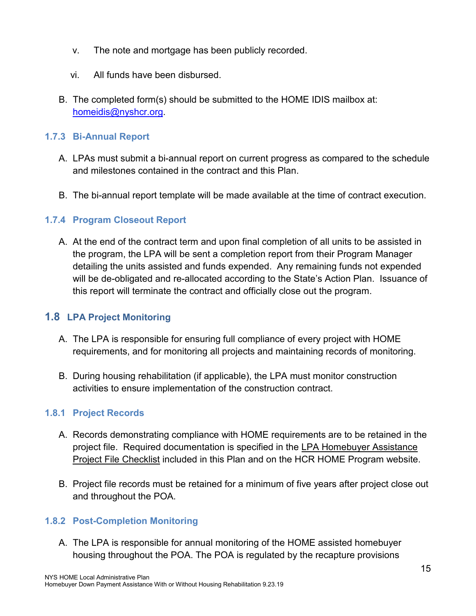- v. The note and mortgage has been publicly recorded.
- vi. All funds have been disbursed.
- B. The completed form(s) should be submitted to the HOME IDIS mailbox at: [homeidis@nyshcr.org.](mailto:homeidis@nyshcr.org)

#### <span id="page-14-0"></span>**1.7.3 Bi-Annual Report**

- A. LPAs must submit a bi-annual report on current progress as compared to the schedule and milestones contained in the contract and this Plan.
- B. The bi-annual report template will be made available at the time of contract execution.

#### <span id="page-14-1"></span>**1.7.4 Program Closeout Report**

A. At the end of the contract term and upon final completion of all units to be assisted in the program, the LPA will be sent a completion report from their Program Manager detailing the units assisted and funds expended. Any remaining funds not expended will be de-obligated and re-allocated according to the State's Action Plan. Issuance of this report will terminate the contract and officially close out the program.

#### <span id="page-14-2"></span>**1.8 LPA Project Monitoring**

- A. The LPA is responsible for ensuring full compliance of every project with HOME requirements, and for monitoring all projects and maintaining records of monitoring.
- B. During housing rehabilitation (if applicable), the LPA must monitor construction activities to ensure implementation of the construction contract.

#### <span id="page-14-3"></span>**1.8.1 Project Records**

- A. Records demonstrating compliance with HOME requirements are to be retained in the project file. Required documentation is specified in the LPA Homebuyer Assistance Project File Checklist included in this Plan and on the HCR HOME Program website.
- B. Project file records must be retained for a minimum of five years after project close out and throughout the POA.

#### <span id="page-14-4"></span>**1.8.2 Post-Completion Monitoring**

A. The LPA is responsible for annual monitoring of the HOME assisted homebuyer housing throughout the POA. The POA is regulated by the recapture provisions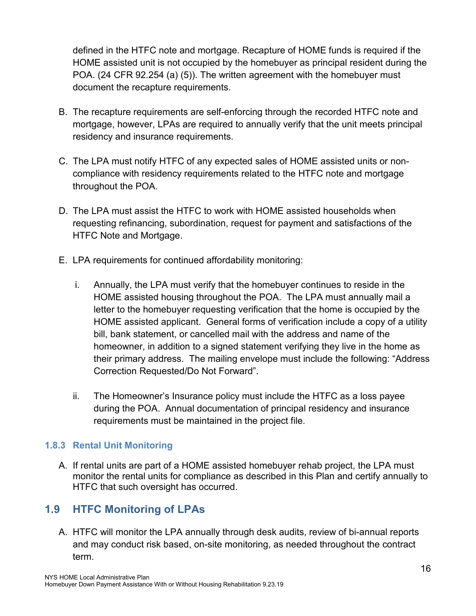defined in the HTFC note and mortgage. Recapture of HOME funds is required if the HOME assisted unit is not occupied by the homebuyer as principal resident during the POA. (24 CFR 92.254 (a) (5)). The written agreement with the homebuyer must document the recapture requirements.

- B. The recapture requirements are self-enforcing through the recorded HTFC note and mortgage, however, LPAs are required to annually verify that the unit meets principal residency and insurance requirements.
- C. The LPA must notify HTFC of any expected sales of HOME assisted units or noncompliance with residency requirements related to the HTFC note and mortgage throughout the POA.
- D. The LPA must assist the HTFC to work with HOME assisted households when requesting refinancing, subordination, request for payment and satisfactions of the HTFC Note and Mortgage.
- E. LPA requirements for continued affordability monitoring:
	- i. Annually, the LPA must verify that the homebuyer continues to reside in the HOME assisted housing throughout the POA. The LPA must annually mail a letter to the homebuyer requesting verification that the home is occupied by the HOME assisted applicant. General forms of verification include a copy of a utility bill, bank statement, or cancelled mail with the address and name of the homeowner, in addition to a signed statement verifying they live in the home as their primary address. The mailing envelope must include the following: "Address Correction Requested/Do Not Forward".
	- ii. The Homeowner's Insurance policy must include the HTFC as a loss payee during the POA. Annual documentation of principal residency and insurance requirements must be maintained in the project file.

#### <span id="page-15-0"></span>**1.8.3 Rental Unit Monitoring**

A. If rental units are part of a HOME assisted homebuyer rehab project, the LPA must monitor the rental units for compliance as described in this Plan and certify annually to HTFC that such oversight has occurred.

## <span id="page-15-1"></span>**1.9 HTFC Monitoring of LPAs**

A. HTFC will monitor the LPA annually through desk audits, review of bi-annual reports and may conduct risk based, on-site monitoring, as needed throughout the contract term.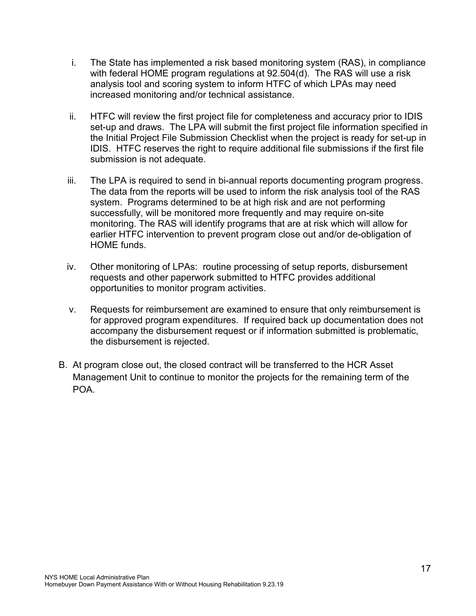- i. The State has implemented a risk based monitoring system (RAS), in compliance with federal HOME program regulations at 92.504(d). The RAS will use a risk analysis tool and scoring system to inform HTFC of which LPAs may need increased monitoring and/or technical assistance.
- ii. HTFC will review the first project file for completeness and accuracy prior to IDIS set-up and draws. The LPA will submit the first project file information specified in the Initial Project File Submission Checklist when the project is ready for set-up in IDIS. HTFC reserves the right to require additional file submissions if the first file submission is not adequate.
- iii. The LPA is required to send in bi-annual reports documenting program progress. The data from the reports will be used to inform the risk analysis tool of the RAS system. Programs determined to be at high risk and are not performing successfully, will be monitored more frequently and may require on-site monitoring. The RAS will identify programs that are at risk which will allow for earlier HTFC intervention to prevent program close out and/or de-obligation of HOME funds.
- iv. Other monitoring of LPAs: routine processing of setup reports, disbursement requests and other paperwork submitted to HTFC provides additional opportunities to monitor program activities.
- v. Requests for reimbursement are examined to ensure that only reimbursement is for approved program expenditures. If required back up documentation does not accompany the disbursement request or if information submitted is problematic, the disbursement is rejected.
- B. At program close out, the closed contract will be transferred to the HCR Asset Management Unit to continue to monitor the projects for the remaining term of the POA.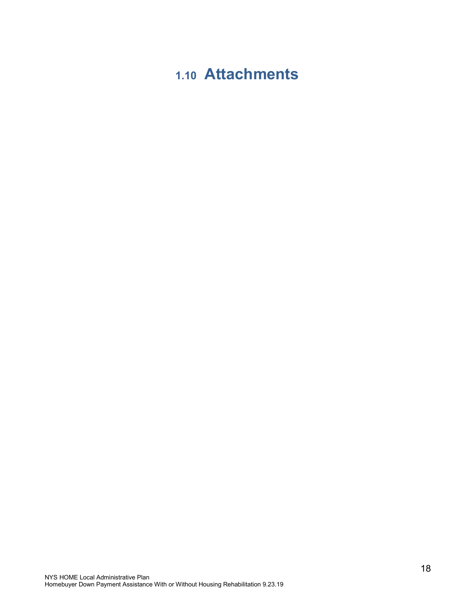# <span id="page-17-0"></span>**1.10 Attachments**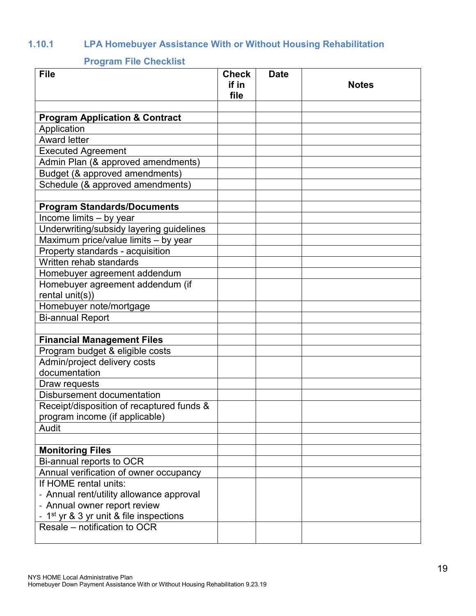## **1.10.1 LPA Homebuyer Assistance With or Without Housing Rehabilitation**

#### <span id="page-18-1"></span><span id="page-18-0"></span>**Program File Checklist**

| <b>File</b>                                                              | <b>Check</b><br>if in | <b>Date</b> | <b>Notes</b> |
|--------------------------------------------------------------------------|-----------------------|-------------|--------------|
|                                                                          | file                  |             |              |
|                                                                          |                       |             |              |
| <b>Program Application &amp; Contract</b>                                |                       |             |              |
| Application                                                              |                       |             |              |
| <b>Award letter</b>                                                      |                       |             |              |
| <b>Executed Agreement</b>                                                |                       |             |              |
| Admin Plan (& approved amendments)                                       |                       |             |              |
| Budget (& approved amendments)                                           |                       |             |              |
| Schedule (& approved amendments)                                         |                       |             |              |
| <b>Program Standards/Documents</b>                                       |                       |             |              |
| Income limits - by year                                                  |                       |             |              |
| Underwriting/subsidy layering guidelines                                 |                       |             |              |
| Maximum price/value limits - by year                                     |                       |             |              |
| Property standards - acquisition                                         |                       |             |              |
| Written rehab standards                                                  |                       |             |              |
| Homebuyer agreement addendum                                             |                       |             |              |
| Homebuyer agreement addendum (if                                         |                       |             |              |
| rental unit(s))                                                          |                       |             |              |
| Homebuyer note/mortgage                                                  |                       |             |              |
| <b>Bi-annual Report</b>                                                  |                       |             |              |
|                                                                          |                       |             |              |
| <b>Financial Management Files</b>                                        |                       |             |              |
| Program budget & eligible costs                                          |                       |             |              |
| Admin/project delivery costs                                             |                       |             |              |
| documentation                                                            |                       |             |              |
| Draw requests                                                            |                       |             |              |
| <b>Disbursement documentation</b>                                        |                       |             |              |
| Receipt/disposition of recaptured funds &                                |                       |             |              |
| program income (if applicable)                                           |                       |             |              |
| Audit                                                                    |                       |             |              |
|                                                                          |                       |             |              |
| <b>Monitoring Files</b>                                                  |                       |             |              |
| Bi-annual reports to OCR                                                 |                       |             |              |
| Annual verification of owner occupancy<br>If HOME rental units:          |                       |             |              |
|                                                                          |                       |             |              |
| - Annual rent/utility allowance approval<br>- Annual owner report review |                       |             |              |
| - 1 <sup>st</sup> yr & 3 yr unit & file inspections                      |                       |             |              |
| Resale – notification to OCR                                             |                       |             |              |
|                                                                          |                       |             |              |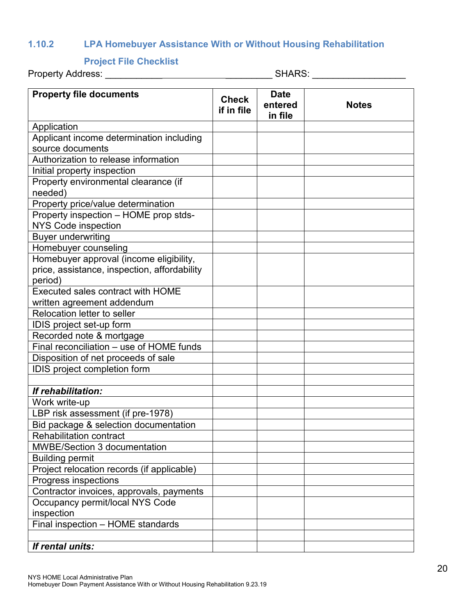## **1.10.2 LPA Homebuyer Assistance With or Without Housing Rehabilitation**

<span id="page-19-1"></span><span id="page-19-0"></span>**Project File Checklist** 

Property Address: \_\_\_\_\_\_\_\_\_\_\_ \_\_\_\_\_\_\_\_\_ SHARS: \_\_\_\_\_\_\_\_\_\_\_\_\_\_\_\_\_\_

| <b>Property file documents</b>               | <b>Check</b> | <b>Date</b>        |              |
|----------------------------------------------|--------------|--------------------|--------------|
|                                              | if in file   | entered<br>in file | <b>Notes</b> |
| Application                                  |              |                    |              |
| Applicant income determination including     |              |                    |              |
| source documents                             |              |                    |              |
| Authorization to release information         |              |                    |              |
| Initial property inspection                  |              |                    |              |
| Property environmental clearance (if         |              |                    |              |
| needed)                                      |              |                    |              |
| Property price/value determination           |              |                    |              |
| Property inspection - HOME prop stds-        |              |                    |              |
| <b>NYS Code inspection</b>                   |              |                    |              |
| <b>Buyer underwriting</b>                    |              |                    |              |
| Homebuyer counseling                         |              |                    |              |
| Homebuyer approval (income eligibility,      |              |                    |              |
| price, assistance, inspection, affordability |              |                    |              |
| period)                                      |              |                    |              |
| <b>Executed sales contract with HOME</b>     |              |                    |              |
| written agreement addendum                   |              |                    |              |
| Relocation letter to seller                  |              |                    |              |
| IDIS project set-up form                     |              |                    |              |
| Recorded note & mortgage                     |              |                    |              |
| Final reconciliation - use of HOME funds     |              |                    |              |
| Disposition of net proceeds of sale          |              |                    |              |
| IDIS project completion form                 |              |                    |              |
|                                              |              |                    |              |
| If rehabilitation:                           |              |                    |              |
| Work write-up                                |              |                    |              |
| LBP risk assessment (if pre-1978)            |              |                    |              |
| Bid package & selection documentation        |              |                    |              |
| <b>Rehabilitation contract</b>               |              |                    |              |
| <b>MWBE/Section 3 documentation</b>          |              |                    |              |
| <b>Building permit</b>                       |              |                    |              |
| Project relocation records (if applicable)   |              |                    |              |
| Progress inspections                         |              |                    |              |
| Contractor invoices, approvals, payments     |              |                    |              |
| Occupancy permit/local NYS Code              |              |                    |              |
| inspection                                   |              |                    |              |
| Final inspection - HOME standards            |              |                    |              |
|                                              |              |                    |              |
| If rental units:                             |              |                    |              |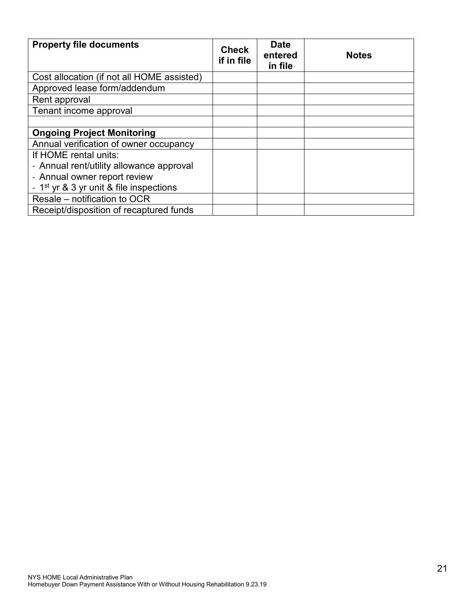| <b>Property file documents</b>                      | <b>Check</b><br>if in file | <b>Date</b><br>entered<br>in file | <b>Notes</b> |
|-----------------------------------------------------|----------------------------|-----------------------------------|--------------|
| Cost allocation (if not all HOME assisted)          |                            |                                   |              |
| Approved lease form/addendum                        |                            |                                   |              |
| Rent approval                                       |                            |                                   |              |
| Tenant income approval                              |                            |                                   |              |
|                                                     |                            |                                   |              |
| <b>Ongoing Project Monitoring</b>                   |                            |                                   |              |
| Annual verification of owner occupancy              |                            |                                   |              |
| If HOME rental units:                               |                            |                                   |              |
| - Annual rent/utility allowance approval            |                            |                                   |              |
| - Annual owner report review                        |                            |                                   |              |
| - 1 <sup>st</sup> yr & 3 yr unit & file inspections |                            |                                   |              |
| Resale – notification to OCR                        |                            |                                   |              |
| Receipt/disposition of recaptured funds             |                            |                                   |              |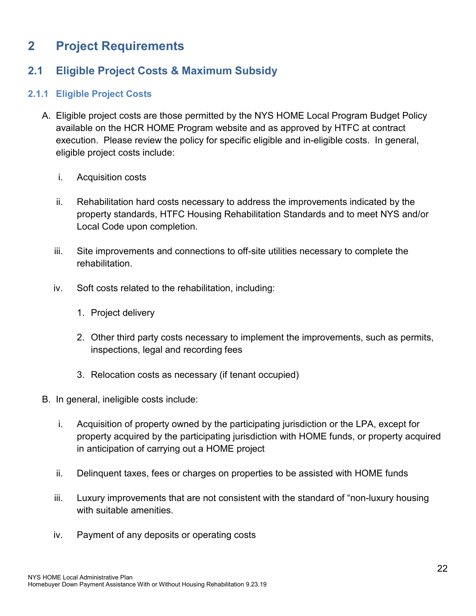## <span id="page-21-0"></span>**2 Project Requirements**

## <span id="page-21-1"></span>**2.1 Eligible Project Costs & Maximum Subsidy**

#### <span id="page-21-2"></span>**2.1.1 Eligible Project Costs**

- A. Eligible project costs are those permitted by the NYS HOME Local Program Budget Policy available on the HCR HOME Program website and as approved by HTFC at contract execution. Please review the policy for specific eligible and in-eligible costs. In general, eligible project costs include:
	- i. Acquisition costs
	- ii. Rehabilitation hard costs necessary to address the improvements indicated by the property standards, HTFC Housing Rehabilitation Standards and to meet NYS and/or Local Code upon completion.
	- iii. Site improvements and connections to off-site utilities necessary to complete the rehabilitation.
	- iv. Soft costs related to the rehabilitation, including:
		- 1. Project delivery
		- 2. Other third party costs necessary to implement the improvements, such as permits, inspections, legal and recording fees
		- 3. Relocation costs as necessary (if tenant occupied)
- B. In general, ineligible costs include:
	- i. Acquisition of property owned by the participating jurisdiction or the LPA, except for property acquired by the participating jurisdiction with HOME funds, or property acquired in anticipation of carrying out a HOME project
	- ii. Delinquent taxes, fees or charges on properties to be assisted with HOME funds
	- iii. Luxury improvements that are not consistent with the standard of "non-luxury housing with suitable amenities.
	- iv. Payment of any deposits or operating costs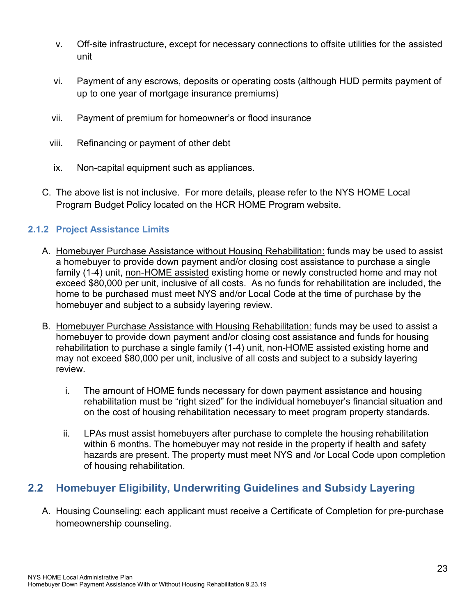- v. Off-site infrastructure, except for necessary connections to offsite utilities for the assisted unit
- vi. Payment of any escrows, deposits or operating costs (although HUD permits payment of up to one year of mortgage insurance premiums)
- vii. Payment of premium for homeowner's or flood insurance
- viii. Refinancing or payment of other debt
- ix. Non-capital equipment such as appliances.
- C. The above list is not inclusive. For more details, please refer to the NYS HOME Local Program Budget Policy located on the HCR HOME Program website.

#### <span id="page-22-0"></span>**2.1.2 Project Assistance Limits**

- A. Homebuyer Purchase Assistance without Housing Rehabilitation: funds may be used to assist a homebuyer to provide down payment and/or closing cost assistance to purchase a single family (1-4) unit, non-HOME assisted existing home or newly constructed home and may not exceed \$80,000 per unit, inclusive of all costs. As no funds for rehabilitation are included, the home to be purchased must meet NYS and/or Local Code at the time of purchase by the homebuyer and subject to a subsidy layering review.
- B. Homebuyer Purchase Assistance with Housing Rehabilitation: funds may be used to assist a homebuyer to provide down payment and/or closing cost assistance and funds for housing rehabilitation to purchase a single family (1-4) unit, non-HOME assisted existing home and may not exceed \$80,000 per unit, inclusive of all costs and subject to a subsidy layering review.
	- i. The amount of HOME funds necessary for down payment assistance and housing rehabilitation must be "right sized" for the individual homebuyer's financial situation and on the cost of housing rehabilitation necessary to meet program property standards.
	- ii. LPAs must assist homebuyers after purchase to complete the housing rehabilitation within 6 months. The homebuyer may not reside in the property if health and safety hazards are present. The property must meet NYS and /or Local Code upon completion of housing rehabilitation.

## <span id="page-22-1"></span>**2.2 Homebuyer Eligibility, Underwriting Guidelines and Subsidy Layering**

A. Housing Counseling: each applicant must receive a Certificate of Completion for pre-purchase homeownership counseling.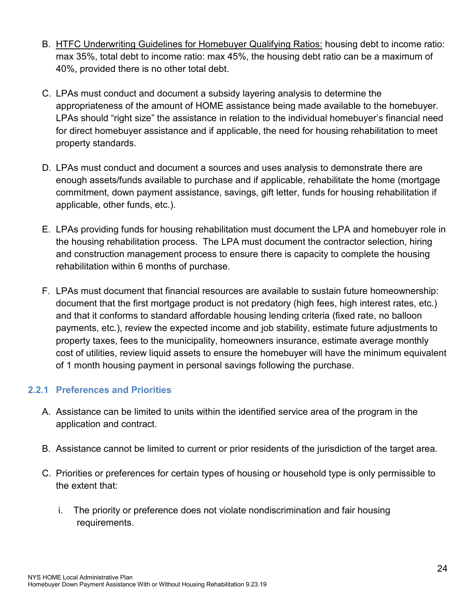- B. HTFC Underwriting Guidelines for Homebuyer Qualifying Ratios: housing debt to income ratio: max 35%, total debt to income ratio: max 45%, the housing debt ratio can be a maximum of 40%, provided there is no other total debt.
- C. LPAs must conduct and document a subsidy layering analysis to determine the appropriateness of the amount of HOME assistance being made available to the homebuyer. LPAs should "right size" the assistance in relation to the individual homebuyer's financial need for direct homebuyer assistance and if applicable, the need for housing rehabilitation to meet property standards.
- D. LPAs must conduct and document a sources and uses analysis to demonstrate there are enough assets/funds available to purchase and if applicable, rehabilitate the home (mortgage commitment, down payment assistance, savings, gift letter, funds for housing rehabilitation if applicable, other funds, etc.).
- E. LPAs providing funds for housing rehabilitation must document the LPA and homebuyer role in the housing rehabilitation process. The LPA must document the contractor selection, hiring and construction management process to ensure there is capacity to complete the housing rehabilitation within 6 months of purchase.
- F. LPAs must document that financial resources are available to sustain future homeownership: document that the first mortgage product is not predatory (high fees, high interest rates, etc.) and that it conforms to standard affordable housing lending criteria (fixed rate, no balloon payments, etc.), review the expected income and job stability, estimate future adjustments to property taxes, fees to the municipality, homeowners insurance, estimate average monthly cost of utilities, review liquid assets to ensure the homebuyer will have the minimum equivalent of 1 month housing payment in personal savings following the purchase.

#### <span id="page-23-0"></span>**2.2.1 Preferences and Priorities**

- A. Assistance can be limited to units within the identified service area of the program in the application and contract.
- B. Assistance cannot be limited to current or prior residents of the jurisdiction of the target area.
- C. Priorities or preferences for certain types of housing or household type is only permissible to the extent that:
	- i. The priority or preference does not violate nondiscrimination and fair housing requirements.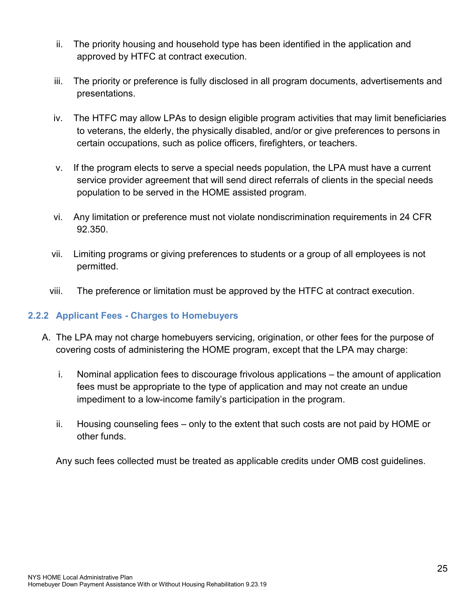- ii. The priority housing and household type has been identified in the application and approved by HTFC at contract execution.
- iii. The priority or preference is fully disclosed in all program documents, advertisements and presentations.
- iv. The HTFC may allow LPAs to design eligible program activities that may limit beneficiaries to veterans, the elderly, the physically disabled, and/or or give preferences to persons in certain occupations, such as police officers, firefighters, or teachers.
- v. If the program elects to serve a special needs population, the LPA must have a current service provider agreement that will send direct referrals of clients in the special needs population to be served in the HOME assisted program.
- vi. Any limitation or preference must not violate nondiscrimination requirements in 24 CFR 92.350.
- vii. Limiting programs or giving preferences to students or a group of all employees is not permitted.
- viii. The preference or limitation must be approved by the HTFC at contract execution.

#### <span id="page-24-0"></span>**2.2.2 Applicant Fees - Charges to Homebuyers**

- A. The LPA may not charge homebuyers servicing, origination, or other fees for the purpose of covering costs of administering the HOME program, except that the LPA may charge:
	- i. Nominal application fees to discourage frivolous applications the amount of application fees must be appropriate to the type of application and may not create an undue impediment to a low-income family's participation in the program.
	- ii. Housing counseling fees only to the extent that such costs are not paid by HOME or other funds.

Any such fees collected must be treated as applicable credits under OMB cost guidelines.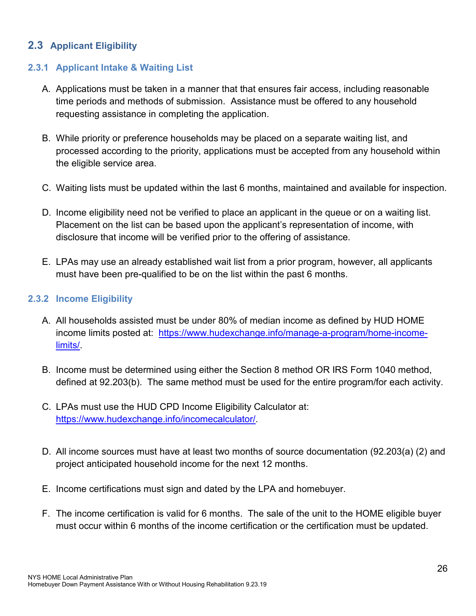## <span id="page-25-0"></span>**2.3 Applicant Eligibility**

#### <span id="page-25-1"></span>**2.3.1 Applicant Intake & Waiting List**

- A. Applications must be taken in a manner that that ensures fair access, including reasonable time periods and methods of submission. Assistance must be offered to any household requesting assistance in completing the application.
- B. While priority or preference households may be placed on a separate waiting list, and processed according to the priority, applications must be accepted from any household within the eligible service area.
- C. Waiting lists must be updated within the last 6 months, maintained and available for inspection.
- D. Income eligibility need not be verified to place an applicant in the queue or on a waiting list. Placement on the list can be based upon the applicant's representation of income, with disclosure that income will be verified prior to the offering of assistance.
- E. LPAs may use an already established wait list from a prior program, however, all applicants must have been pre-qualified to be on the list within the past 6 months.

#### <span id="page-25-2"></span>**2.3.2 Income Eligibility**

- A. All households assisted must be under 80% of median income as defined by HUD HOME income limits posted at: [https://www.hudexchange.info/manage-a-program/home-income](https://www.hudexchange.info/manage-a-program/home-income-limits/)[limits/.](https://www.hudexchange.info/manage-a-program/home-income-limits/)
- B. Income must be determined using either the Section 8 method OR IRS Form 1040 method, defined at 92.203(b). The same method must be used for the entire program/for each activity.
- C. LPAs must use the HUD CPD Income Eligibility Calculator at: [https://www.hudexchange.info/incomecalculator/.](https://www.hudexchange.info/incomecalculator/)
- D. All income sources must have at least two months of source documentation (92.203(a) (2) and project anticipated household income for the next 12 months.
- E. Income certifications must sign and dated by the LPA and homebuyer.
- F. The income certification is valid for 6 months. The sale of the unit to the HOME eligible buyer must occur within 6 months of the income certification or the certification must be updated.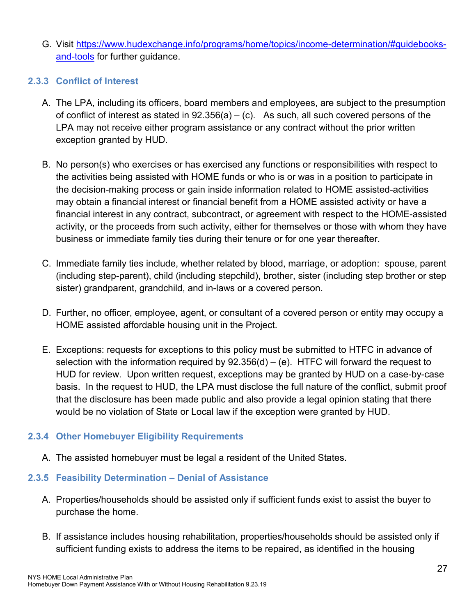G. Visit [https://www.hudexchange.info/programs/home/topics/income-determination/#guidebooks](https://www.hudexchange.info/programs/home/topics/income-determination/#guidebooks-and-tools)[and-tools](https://www.hudexchange.info/programs/home/topics/income-determination/#guidebooks-and-tools) for further guidance.

#### <span id="page-26-0"></span>**2.3.3 Conflict of Interest**

- A. The LPA, including its officers, board members and employees, are subject to the presumption of conflict of interest as stated in  $92.356(a) - (c)$ . As such, all such covered persons of the LPA may not receive either program assistance or any contract without the prior written exception granted by HUD.
- B. No person(s) who exercises or has exercised any functions or responsibilities with respect to the activities being assisted with HOME funds or who is or was in a position to participate in the decision-making process or gain inside information related to HOME assisted-activities may obtain a financial interest or financial benefit from a HOME assisted activity or have a financial interest in any contract, subcontract, or agreement with respect to the HOME-assisted activity, or the proceeds from such activity, either for themselves or those with whom they have business or immediate family ties during their tenure or for one year thereafter.
- C. Immediate family ties include, whether related by blood, marriage, or adoption: spouse, parent (including step-parent), child (including stepchild), brother, sister (including step brother or step sister) grandparent, grandchild, and in-laws or a covered person.
- D. Further, no officer, employee, agent, or consultant of a covered person or entity may occupy a HOME assisted affordable housing unit in the Project.
- E. Exceptions: requests for exceptions to this policy must be submitted to HTFC in advance of selection with the information required by  $92.356(d) - (e)$ . HTFC will forward the request to HUD for review. Upon written request, exceptions may be granted by HUD on a case-by-case basis. In the request to HUD, the LPA must disclose the full nature of the conflict, submit proof that the disclosure has been made public and also provide a legal opinion stating that there would be no violation of State or Local law if the exception were granted by HUD.

#### <span id="page-26-1"></span>**2.3.4 Other Homebuyer Eligibility Requirements**

A. The assisted homebuyer must be legal a resident of the United States.

#### <span id="page-26-2"></span>**2.3.5 Feasibility Determination – Denial of Assistance**

- A. Properties/households should be assisted only if sufficient funds exist to assist the buyer to purchase the home.
- B. If assistance includes housing rehabilitation, properties/households should be assisted only if sufficient funding exists to address the items to be repaired, as identified in the housing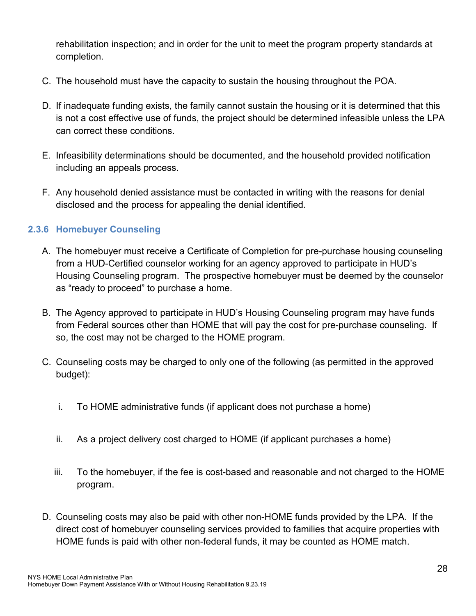rehabilitation inspection; and in order for the unit to meet the program property standards at completion.

- C. The household must have the capacity to sustain the housing throughout the POA.
- D. If inadequate funding exists, the family cannot sustain the housing or it is determined that this is not a cost effective use of funds, the project should be determined infeasible unless the LPA can correct these conditions.
- E. Infeasibility determinations should be documented, and the household provided notification including an appeals process.
- F. Any household denied assistance must be contacted in writing with the reasons for denial disclosed and the process for appealing the denial identified.

#### <span id="page-27-0"></span>**2.3.6 Homebuyer Counseling**

- A. The homebuyer must receive a Certificate of Completion for pre-purchase housing counseling from a HUD-Certified counselor working for an agency approved to participate in HUD's Housing Counseling program. The prospective homebuyer must be deemed by the counselor as "ready to proceed" to purchase a home.
- B. The Agency approved to participate in HUD's Housing Counseling program may have funds from Federal sources other than HOME that will pay the cost for pre-purchase counseling. If so, the cost may not be charged to the HOME program.
- C. Counseling costs may be charged to only one of the following (as permitted in the approved budget):
	- i. To HOME administrative funds (if applicant does not purchase a home)
	- ii. As a project delivery cost charged to HOME (if applicant purchases a home)
	- iii. To the homebuyer, if the fee is cost-based and reasonable and not charged to the HOME program.
- D. Counseling costs may also be paid with other non-HOME funds provided by the LPA. If the direct cost of homebuyer counseling services provided to families that acquire properties with HOME funds is paid with other non-federal funds, it may be counted as HOME match.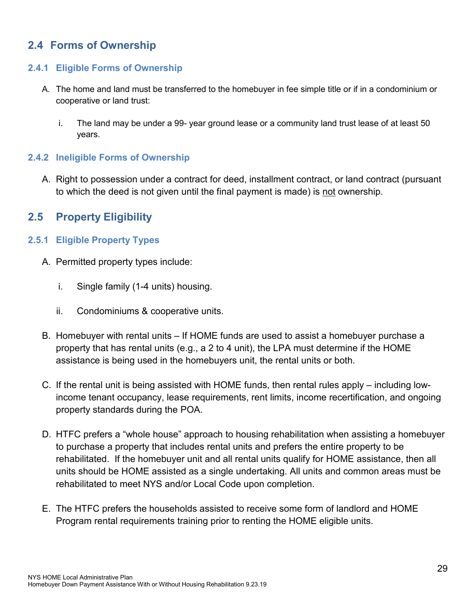## <span id="page-28-0"></span>**2.4 Forms of Ownership**

#### <span id="page-28-1"></span>**2.4.1 Eligible Forms of Ownership**

- A. The home and land must be transferred to the homebuyer in fee simple title or if in a condominium or cooperative or land trust:
	- i. The land may be under a 99- year ground lease or a community land trust lease of at least 50 years.

#### <span id="page-28-2"></span>**2.4.2 Ineligible Forms of Ownership**

A. Right to possession under a contract for deed, installment contract, or land contract (pursuant to which the deed is not given until the final payment is made) is not ownership.

## <span id="page-28-3"></span>**2.5 Property Eligibility**

#### <span id="page-28-4"></span>**2.5.1 Eligible Property Types**

- A. Permitted property types include:
	- i. Single family (1-4 units) housing.
	- ii. Condominiums & cooperative units.
- B. Homebuyer with rental units If HOME funds are used to assist a homebuyer purchase a property that has rental units (e.g., a 2 to 4 unit), the LPA must determine if the HOME assistance is being used in the homebuyers unit, the rental units or both.
- C. If the rental unit is being assisted with HOME funds, then rental rules apply including lowincome tenant occupancy, lease requirements, rent limits, income recertification, and ongoing property standards during the POA.
- D. HTFC prefers a "whole house" approach to housing rehabilitation when assisting a homebuyer to purchase a property that includes rental units and prefers the entire property to be rehabilitated. If the homebuyer unit and all rental units qualify for HOME assistance, then all units should be HOME assisted as a single undertaking. All units and common areas must be rehabilitated to meet NYS and/or Local Code upon completion.
- E. The HTFC prefers the households assisted to receive some form of landlord and HOME Program rental requirements training prior to renting the HOME eligible units.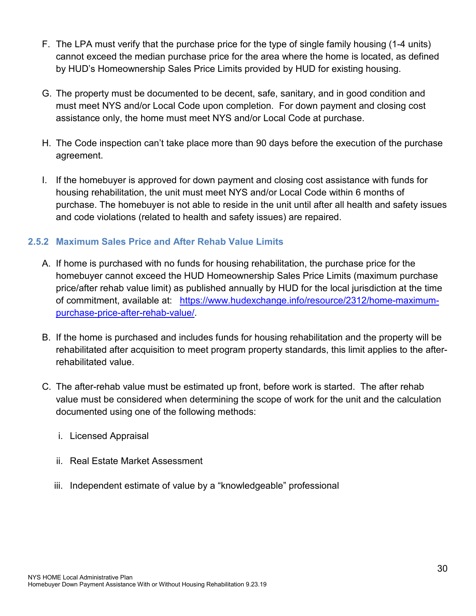- F. The LPA must verify that the purchase price for the type of single family housing (1-4 units) cannot exceed the median purchase price for the area where the home is located, as defined by HUD's Homeownership Sales Price Limits provided by HUD for existing housing.
- G. The property must be documented to be decent, safe, sanitary, and in good condition and must meet NYS and/or Local Code upon completion. For down payment and closing cost assistance only, the home must meet NYS and/or Local Code at purchase.
- H. The Code inspection can't take place more than 90 days before the execution of the purchase agreement.
- I. If the homebuyer is approved for down payment and closing cost assistance with funds for housing rehabilitation, the unit must meet NYS and/or Local Code within 6 months of purchase. The homebuyer is not able to reside in the unit until after all health and safety issues and code violations (related to health and safety issues) are repaired.

#### <span id="page-29-0"></span>**2.5.2 Maximum Sales Price and After Rehab Value Limits**

- A. If home is purchased with no funds for housing rehabilitation, the purchase price for the homebuyer cannot exceed the HUD Homeownership Sales Price Limits (maximum purchase price/after rehab value limit) as published annually by HUD for the local jurisdiction at the time of commitment, available at: [https://www.hudexchange.info/resource/2312/home-maximum](https://www.hudexchange.info/resource/2312/home-maximum-purchase-price-after-rehab-value/)[purchase-price-after-rehab-value/.](https://www.hudexchange.info/resource/2312/home-maximum-purchase-price-after-rehab-value/)
- B. If the home is purchased and includes funds for housing rehabilitation and the property will be rehabilitated after acquisition to meet program property standards, this limit applies to the afterrehabilitated value.
- C. The after-rehab value must be estimated up front, before work is started. The after rehab value must be considered when determining the scope of work for the unit and the calculation documented using one of the following methods:
	- i. Licensed Appraisal
	- ii. Real Estate Market Assessment
	- iii. Independent estimate of value by a "knowledgeable" professional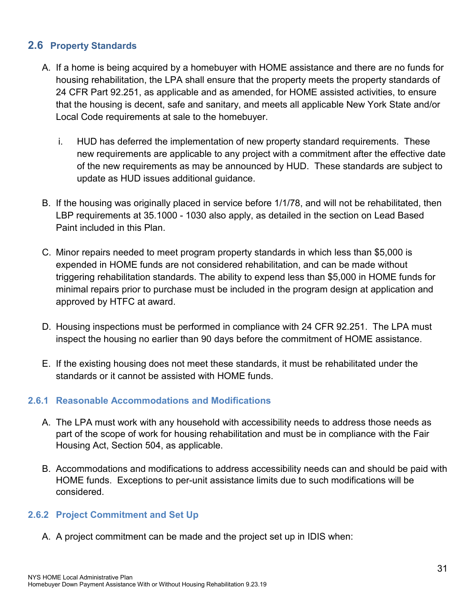#### <span id="page-30-0"></span>**2.6 Property Standards**

- A. If a home is being acquired by a homebuyer with HOME assistance and there are no funds for housing rehabilitation, the LPA shall ensure that the property meets the property standards of 24 CFR Part 92.251, as applicable and as amended, for HOME assisted activities, to ensure that the housing is decent, safe and sanitary, and meets all applicable New York State and/or Local Code requirements at sale to the homebuyer.
	- i. HUD has deferred the implementation of new property standard requirements. These new requirements are applicable to any project with a commitment after the effective date of the new requirements as may be announced by HUD. These standards are subject to update as HUD issues additional guidance.
- B. If the housing was originally placed in service before 1/1/78, and will not be rehabilitated, then LBP requirements at 35.1000 - 1030 also apply, as detailed in the section on Lead Based Paint included in this Plan.
- C. Minor repairs needed to meet program property standards in which less than \$5,000 is expended in HOME funds are not considered rehabilitation, and can be made without triggering rehabilitation standards. The ability to expend less than \$5,000 in HOME funds for minimal repairs prior to purchase must be included in the program design at application and approved by HTFC at award.
- D. Housing inspections must be performed in compliance with 24 CFR 92.251. The LPA must inspect the housing no earlier than 90 days before the commitment of HOME assistance.
- E. If the existing housing does not meet these standards, it must be rehabilitated under the standards or it cannot be assisted with HOME funds.

#### <span id="page-30-1"></span>**2.6.1 Reasonable Accommodations and Modifications**

- A. The LPA must work with any household with accessibility needs to address those needs as part of the scope of work for housing rehabilitation and must be in compliance with the Fair Housing Act, Section 504, as applicable.
- B. Accommodations and modifications to address accessibility needs can and should be paid with HOME funds. Exceptions to per-unit assistance limits due to such modifications will be considered.

#### <span id="page-30-2"></span>**2.6.2 Project Commitment and Set Up**

A. A project commitment can be made and the project set up in IDIS when: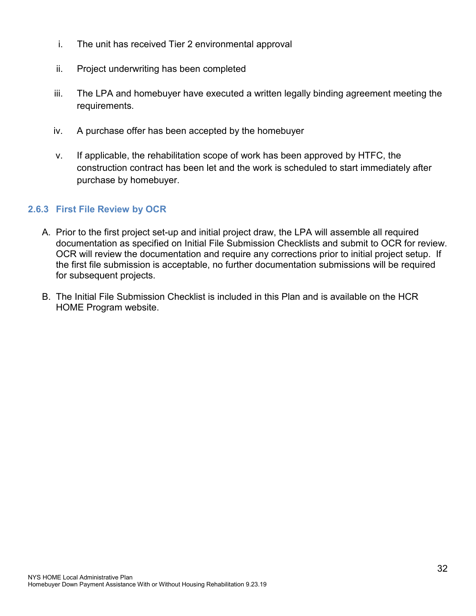- i. The unit has received Tier 2 environmental approval
- ii. Project underwriting has been completed
- iii. The LPA and homebuyer have executed a written legally binding agreement meeting the requirements.
- iv. A purchase offer has been accepted by the homebuyer
- v. If applicable, the rehabilitation scope of work has been approved by HTFC, the construction contract has been let and the work is scheduled to start immediately after purchase by homebuyer.

#### <span id="page-31-0"></span>**2.6.3 First File Review by OCR**

- A. Prior to the first project set-up and initial project draw, the LPA will assemble all required documentation as specified on Initial File Submission Checklists and submit to OCR for review. OCR will review the documentation and require any corrections prior to initial project setup. If the first file submission is acceptable, no further documentation submissions will be required for subsequent projects.
- B. The Initial File Submission Checklist is included in this Plan and is available on the HCR HOME Program website.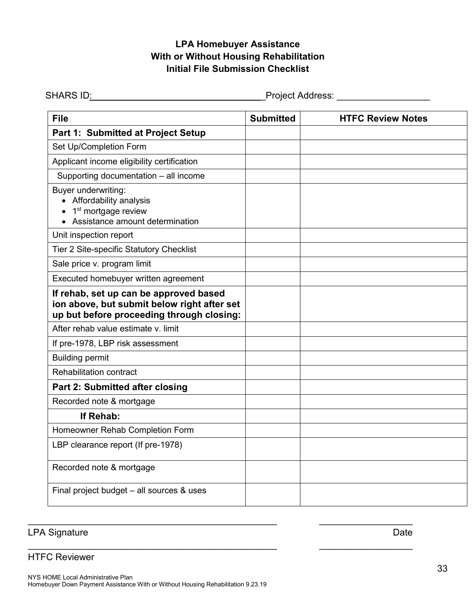#### **LPA Homebuyer Assistance With or Without Housing Rehabilitation Initial File Submission Checklist**

SHARS ID: \_Project Address: \_\_\_\_\_\_\_\_\_\_\_\_\_\_\_\_\_\_

| <b>File</b>                                                                                                                        | <b>Submitted</b> | <b>HTFC Review Notes</b> |
|------------------------------------------------------------------------------------------------------------------------------------|------------------|--------------------------|
| Part 1: Submitted at Project Setup                                                                                                 |                  |                          |
| Set Up/Completion Form                                                                                                             |                  |                          |
| Applicant income eligibility certification                                                                                         |                  |                          |
| Supporting documentation - all income                                                                                              |                  |                          |
| Buyer underwriting:<br>• Affordability analysis<br>1 <sup>st</sup> mortgage review<br>• Assistance amount determination            |                  |                          |
| Unit inspection report                                                                                                             |                  |                          |
| Tier 2 Site-specific Statutory Checklist                                                                                           |                  |                          |
| Sale price v. program limit                                                                                                        |                  |                          |
| Executed homebuyer written agreement                                                                                               |                  |                          |
| If rehab, set up can be approved based<br>ion above, but submit below right after set<br>up but before proceeding through closing: |                  |                          |
| After rehab value estimate v. limit                                                                                                |                  |                          |
| If pre-1978, LBP risk assessment                                                                                                   |                  |                          |
| <b>Building permit</b>                                                                                                             |                  |                          |
| <b>Rehabilitation contract</b>                                                                                                     |                  |                          |
| Part 2: Submitted after closing                                                                                                    |                  |                          |
| Recorded note & mortgage                                                                                                           |                  |                          |
| If Rehab:                                                                                                                          |                  |                          |
| Homeowner Rehab Completion Form                                                                                                    |                  |                          |
| LBP clearance report (If pre-1978)                                                                                                 |                  |                          |
| Recorded note & mortgage                                                                                                           |                  |                          |
| Final project budget - all sources & uses                                                                                          |                  |                          |

\_\_\_\_\_\_\_\_\_\_\_\_\_\_\_\_\_\_\_\_\_\_\_\_\_\_\_\_\_\_\_\_\_\_\_\_\_\_\_\_\_\_\_\_\_\_\_\_ \_\_\_\_\_\_\_\_\_\_\_\_\_\_\_\_\_\_

\_\_\_\_\_\_\_\_\_\_\_\_\_\_\_\_\_\_\_\_\_\_\_\_\_\_\_\_\_\_\_\_\_\_\_\_\_\_\_\_\_\_\_\_\_\_\_\_ \_\_\_\_\_\_\_\_\_\_\_\_\_\_\_\_\_\_

LPA Signature Date

#### HTFC Reviewer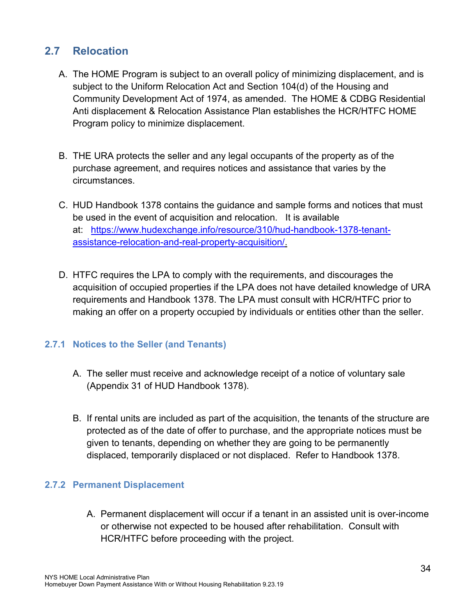## <span id="page-33-0"></span>**2.7 Relocation**

- A. The HOME Program is subject to an overall policy of minimizing displacement, and is subject to the Uniform Relocation Act and Section 104(d) of the Housing and Community Development Act of 1974, as amended. The HOME & CDBG Residential Anti displacement & Relocation Assistance Plan establishes the HCR/HTFC HOME Program policy to minimize displacement.
- B. THE URA protects the seller and any legal occupants of the property as of the purchase agreement, and requires notices and assistance that varies by the circumstances.
- C. HUD Handbook 1378 contains the guidance and sample forms and notices that must be used in the event of acquisition and relocation. It is available at: [https://www.hudexchange.info/resource/310/hud-handbook-1378-tenant](https://www.hudexchange.info/resource/310/hud-handbook-1378-tenant-assistance-relocation-and-real-property-acquisition/)[assistance-relocation-and-real-property-acquisition/.](https://www.hudexchange.info/resource/310/hud-handbook-1378-tenant-assistance-relocation-and-real-property-acquisition/)
- D. HTFC requires the LPA to comply with the requirements, and discourages the acquisition of occupied properties if the LPA does not have detailed knowledge of URA requirements and Handbook 1378. The LPA must consult with HCR/HTFC prior to making an offer on a property occupied by individuals or entities other than the seller.

#### <span id="page-33-1"></span>**2.7.1 Notices to the Seller (and Tenants)**

- A. The seller must receive and acknowledge receipt of a notice of voluntary sale (Appendix 31 of HUD Handbook 1378).
- B. If rental units are included as part of the acquisition, the tenants of the structure are protected as of the date of offer to purchase, and the appropriate notices must be given to tenants, depending on whether they are going to be permanently displaced, temporarily displaced or not displaced. Refer to Handbook 1378.

#### <span id="page-33-2"></span>**2.7.2 Permanent Displacement**

A. Permanent displacement will occur if a tenant in an assisted unit is over-income or otherwise not expected to be housed after rehabilitation. Consult with HCR/HTFC before proceeding with the project.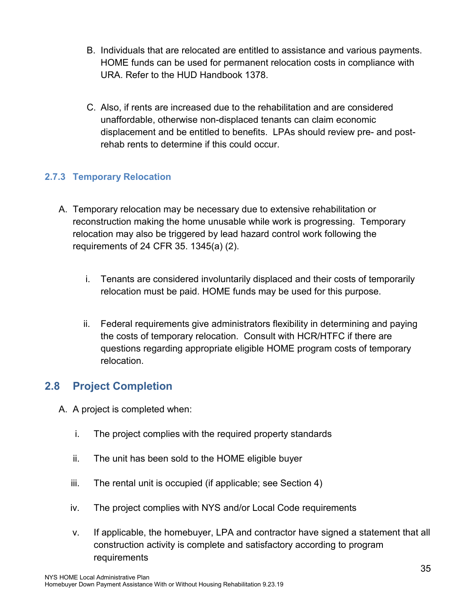- B. Individuals that are relocated are entitled to assistance and various payments. HOME funds can be used for permanent relocation costs in compliance with URA. Refer to the HUD Handbook 1378.
- C. Also, if rents are increased due to the rehabilitation and are considered unaffordable, otherwise non-displaced tenants can claim economic displacement and be entitled to benefits. LPAs should review pre- and postrehab rents to determine if this could occur.

#### <span id="page-34-0"></span>**2.7.3 Temporary Relocation**

- A. Temporary relocation may be necessary due to extensive rehabilitation or reconstruction making the home unusable while work is progressing. Temporary relocation may also be triggered by lead hazard control work following the requirements of 24 CFR 35. 1345(a) (2).
	- i. Tenants are considered involuntarily displaced and their costs of temporarily relocation must be paid. HOME funds may be used for this purpose.
	- ii. Federal requirements give administrators flexibility in determining and paying the costs of temporary relocation. Consult with HCR/HTFC if there are questions regarding appropriate eligible HOME program costs of temporary relocation.

## <span id="page-34-1"></span>**2.8 Project Completion**

- A. A project is completed when:
	- i. The project complies with the required property standards
	- ii. The unit has been sold to the HOME eligible buyer
	- iii. The rental unit is occupied (if applicable; see Section 4)
	- iv. The project complies with NYS and/or Local Code requirements
	- v. If applicable, the homebuyer, LPA and contractor have signed a statement that all construction activity is complete and satisfactory according to program requirements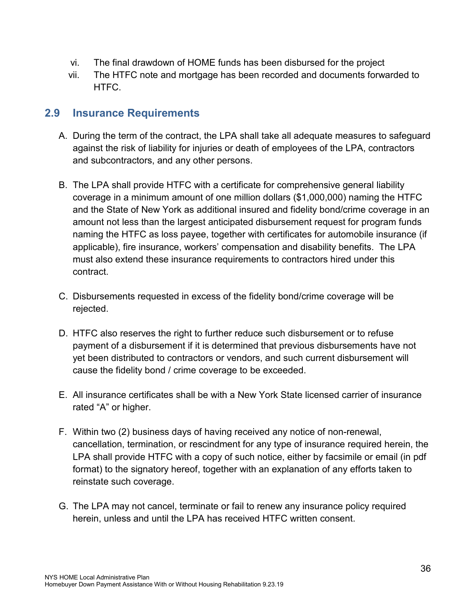- vi. The final drawdown of HOME funds has been disbursed for the project
- vii. The HTFC note and mortgage has been recorded and documents forwarded to HTFC.

### <span id="page-35-0"></span>**2.9 Insurance Requirements**

- A. During the term of the contract, the LPA shall take all adequate measures to safeguard against the risk of liability for injuries or death of employees of the LPA, contractors and subcontractors, and any other persons.
- B. The LPA shall provide HTFC with a certificate for comprehensive general liability coverage in a minimum amount of one million dollars (\$1,000,000) naming the HTFC and the State of New York as additional insured and fidelity bond/crime coverage in an amount not less than the largest anticipated disbursement request for program funds naming the HTFC as loss payee, together with certificates for automobile insurance (if applicable), fire insurance, workers' compensation and disability benefits. The LPA must also extend these insurance requirements to contractors hired under this contract.
- C. Disbursements requested in excess of the fidelity bond/crime coverage will be rejected.
- D. HTFC also reserves the right to further reduce such disbursement or to refuse payment of a disbursement if it is determined that previous disbursements have not yet been distributed to contractors or vendors, and such current disbursement will cause the fidelity bond / crime coverage to be exceeded.
- E. All insurance certificates shall be with a New York State licensed carrier of insurance rated "A" or higher.
- F. Within two (2) business days of having received any notice of non-renewal, cancellation, termination, or rescindment for any type of insurance required herein, the LPA shall provide HTFC with a copy of such notice, either by facsimile or email (in pdf format) to the signatory hereof, together with an explanation of any efforts taken to reinstate such coverage.
- G. The LPA may not cancel, terminate or fail to renew any insurance policy required herein, unless and until the LPA has received HTFC written consent.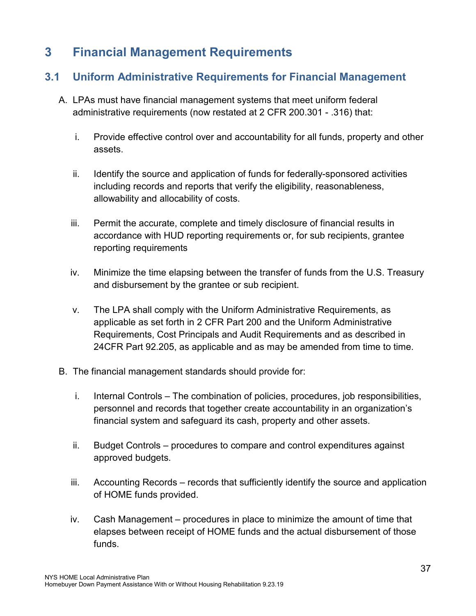## <span id="page-36-0"></span>**3 Financial Management Requirements**

## <span id="page-36-1"></span>**3.1 Uniform Administrative Requirements for Financial Management**

- A. LPAs must have financial management systems that meet uniform federal administrative requirements (now restated at 2 CFR 200.301 - .316) that:
	- i. Provide effective control over and accountability for all funds, property and other assets.
	- ii. Identify the source and application of funds for federally-sponsored activities including records and reports that verify the eligibility, reasonableness, allowability and allocability of costs.
	- iii. Permit the accurate, complete and timely disclosure of financial results in accordance with HUD reporting requirements or, for sub recipients, grantee reporting requirements
	- iv. Minimize the time elapsing between the transfer of funds from the U.S. Treasury and disbursement by the grantee or sub recipient.
	- v. The LPA shall comply with the Uniform Administrative Requirements, as applicable as set forth in 2 CFR Part 200 and the Uniform Administrative Requirements, Cost Principals and Audit Requirements and as described in 24CFR Part 92.205, as applicable and as may be amended from time to time.
- B. The financial management standards should provide for:
	- i. Internal Controls The combination of policies, procedures, job responsibilities, personnel and records that together create accountability in an organization's financial system and safeguard its cash, property and other assets.
	- ii. Budget Controls procedures to compare and control expenditures against approved budgets.
	- iii. Accounting Records records that sufficiently identify the source and application of HOME funds provided.
	- iv. Cash Management procedures in place to minimize the amount of time that elapses between receipt of HOME funds and the actual disbursement of those funds.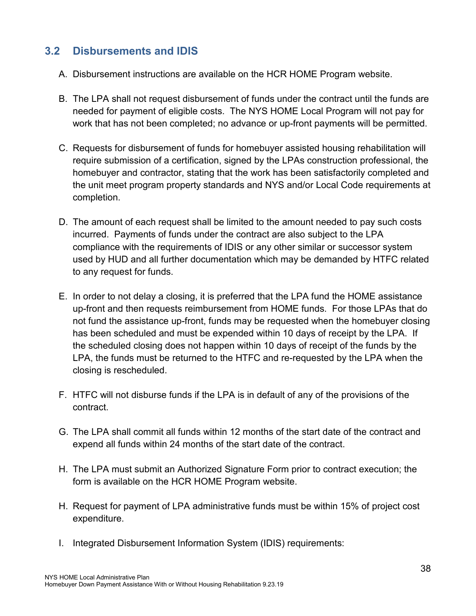## <span id="page-37-0"></span>**3.2 Disbursements and IDIS**

- A. Disbursement instructions are available on the HCR HOME Program website.
- B. The LPA shall not request disbursement of funds under the contract until the funds are needed for payment of eligible costs. The NYS HOME Local Program will not pay for work that has not been completed; no advance or up-front payments will be permitted.
- C. Requests for disbursement of funds for homebuyer assisted housing rehabilitation will require submission of a certification, signed by the LPAs construction professional, the homebuyer and contractor, stating that the work has been satisfactorily completed and the unit meet program property standards and NYS and/or Local Code requirements at completion.
- D. The amount of each request shall be limited to the amount needed to pay such costs incurred. Payments of funds under the contract are also subject to the LPA compliance with the requirements of IDIS or any other similar or successor system used by HUD and all further documentation which may be demanded by HTFC related to any request for funds.
- E. In order to not delay a closing, it is preferred that the LPA fund the HOME assistance up-front and then requests reimbursement from HOME funds. For those LPAs that do not fund the assistance up-front, funds may be requested when the homebuyer closing has been scheduled and must be expended within 10 days of receipt by the LPA. If the scheduled closing does not happen within 10 days of receipt of the funds by the LPA, the funds must be returned to the HTFC and re-requested by the LPA when the closing is rescheduled.
- F. HTFC will not disburse funds if the LPA is in default of any of the provisions of the contract.
- G. The LPA shall commit all funds within 12 months of the start date of the contract and expend all funds within 24 months of the start date of the contract.
- H. The LPA must submit an Authorized Signature Form prior to contract execution; the form is available on the HCR HOME Program website.
- H. Request for payment of LPA administrative funds must be within 15% of project cost expenditure.
- I. Integrated Disbursement Information System (IDIS) requirements: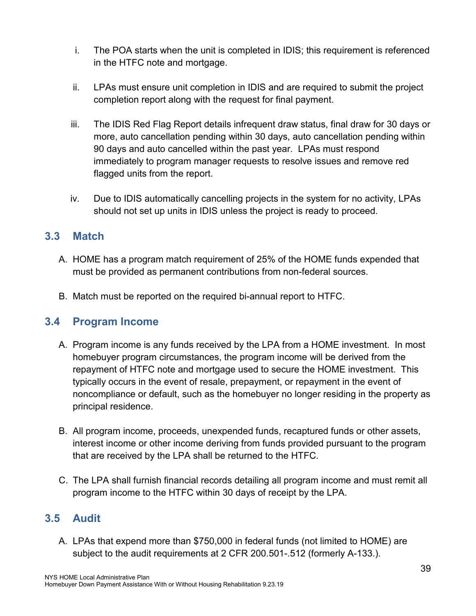- i. The POA starts when the unit is completed in IDIS; this requirement is referenced in the HTFC note and mortgage.
- ii. LPAs must ensure unit completion in IDIS and are required to submit the project completion report along with the request for final payment.
- iii. The IDIS Red Flag Report details infrequent draw status, final draw for 30 days or more, auto cancellation pending within 30 days, auto cancellation pending within 90 days and auto cancelled within the past year. LPAs must respond immediately to program manager requests to resolve issues and remove red flagged units from the report.
- iv. Due to IDIS automatically cancelling projects in the system for no activity, LPAs should not set up units in IDIS unless the project is ready to proceed.

## <span id="page-38-0"></span>**3.3 Match**

- A. HOME has a program match requirement of 25% of the HOME funds expended that must be provided as permanent contributions from non-federal sources.
- B. Match must be reported on the required bi-annual report to HTFC.

#### <span id="page-38-1"></span>**3.4 Program Income**

- A. Program income is any funds received by the LPA from a HOME investment. In most homebuyer program circumstances, the program income will be derived from the repayment of HTFC note and mortgage used to secure the HOME investment. This typically occurs in the event of resale, prepayment, or repayment in the event of noncompliance or default, such as the homebuyer no longer residing in the property as principal residence.
- B. All program income, proceeds, unexpended funds, recaptured funds or other assets, interest income or other income deriving from funds provided pursuant to the program that are received by the LPA shall be returned to the HTFC.
- C. The LPA shall furnish financial records detailing all program income and must remit all program income to the HTFC within 30 days of receipt by the LPA.

#### <span id="page-38-2"></span>**3.5 Audit**

A. LPAs that expend more than \$750,000 in federal funds (not limited to HOME) are subject to the audit requirements at 2 CFR 200.501-.512 (formerly A-133.).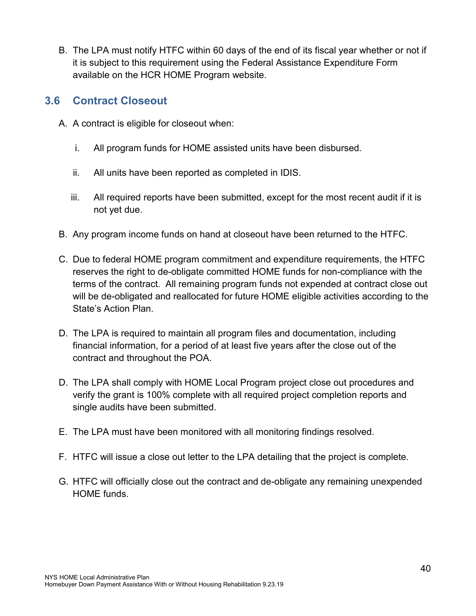B. The LPA must notify HTFC within 60 days of the end of its fiscal year whether or not if it is subject to this requirement using the Federal Assistance Expenditure Form available on the HCR HOME Program website.

## <span id="page-39-0"></span>**3.6 Contract Closeout**

- A. A contract is eligible for closeout when:
	- i. All program funds for HOME assisted units have been disbursed.
	- ii. All units have been reported as completed in IDIS.
	- iii. All required reports have been submitted, except for the most recent audit if it is not yet due.
- B. Any program income funds on hand at closeout have been returned to the HTFC.
- C. Due to federal HOME program commitment and expenditure requirements, the HTFC reserves the right to de-obligate committed HOME funds for non-compliance with the terms of the contract. All remaining program funds not expended at contract close out will be de-obligated and reallocated for future HOME eligible activities according to the State's Action Plan.
- D. The LPA is required to maintain all program files and documentation, including financial information, for a period of at least five years after the close out of the contract and throughout the POA.
- D. The LPA shall comply with HOME Local Program project close out procedures and verify the grant is 100% complete with all required project completion reports and single audits have been submitted.
- E. The LPA must have been monitored with all monitoring findings resolved.
- F. HTFC will issue a close out letter to the LPA detailing that the project is complete.
- G. HTFC will officially close out the contract and de-obligate any remaining unexpended HOME funds.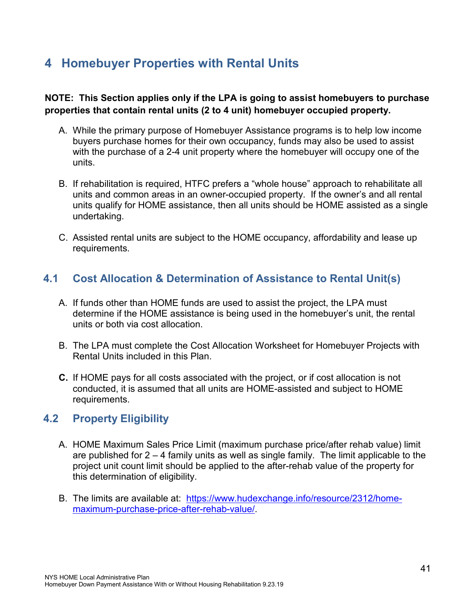## <span id="page-40-0"></span>**4 Homebuyer Properties with Rental Units**

#### **NOTE: This Section applies only if the LPA is going to assist homebuyers to purchase properties that contain rental units (2 to 4 unit) homebuyer occupied property.**

- A. While the primary purpose of Homebuyer Assistance programs is to help low income buyers purchase homes for their own occupancy, funds may also be used to assist with the purchase of a 2-4 unit property where the homebuyer will occupy one of the units.
- B. If rehabilitation is required, HTFC prefers a "whole house" approach to rehabilitate all units and common areas in an owner-occupied property. If the owner's and all rental units qualify for HOME assistance, then all units should be HOME assisted as a single undertaking.
- C. Assisted rental units are subject to the HOME occupancy, affordability and lease up requirements.

## <span id="page-40-1"></span>**4.1 Cost Allocation & Determination of Assistance to Rental Unit(s)**

- A. If funds other than HOME funds are used to assist the project, the LPA must determine if the HOME assistance is being used in the homebuyer's unit, the rental units or both via cost allocation.
- B. The LPA must complete the Cost Allocation Worksheet for Homebuyer Projects with Rental Units included in this Plan.
- **C.** If HOME pays for all costs associated with the project, or if cost allocation is not conducted, it is assumed that all units are HOME-assisted and subject to HOME requirements.

## <span id="page-40-2"></span>**4.2 Property Eligibility**

- A. HOME Maximum Sales Price Limit (maximum purchase price/after rehab value) limit are published for  $2 - 4$  family units as well as single family. The limit applicable to the project unit count limit should be applied to the after-rehab value of the property for this determination of eligibility.
- B. The limits are available at: [https://www.hudexchange.info/resource/2312/home](https://www.hudexchange.info/resource/2312/home-maximum-purchase-price-after-rehab-value/)[maximum-purchase-price-after-rehab-value/.](https://www.hudexchange.info/resource/2312/home-maximum-purchase-price-after-rehab-value/)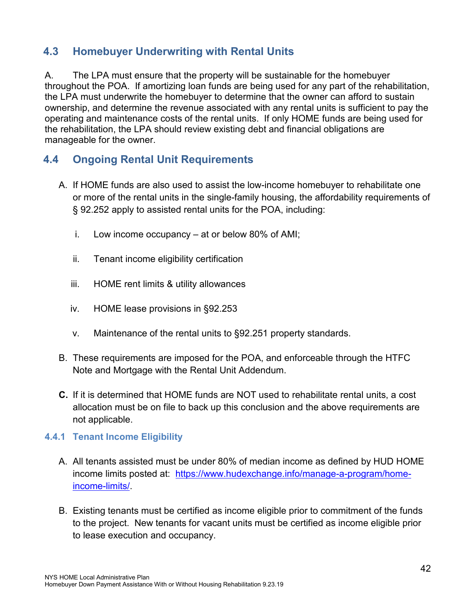## <span id="page-41-0"></span>**4.3 Homebuyer Underwriting with Rental Units**

A. The LPA must ensure that the property will be sustainable for the homebuyer throughout the POA. If amortizing loan funds are being used for any part of the rehabilitation, the LPA must underwrite the homebuyer to determine that the owner can afford to sustain ownership, and determine the revenue associated with any rental units is sufficient to pay the operating and maintenance costs of the rental units. If only HOME funds are being used for the rehabilitation, the LPA should review existing debt and financial obligations are manageable for the owner.

## <span id="page-41-1"></span>**4.4 Ongoing Rental Unit Requirements**

- A. If HOME funds are also used to assist the low-income homebuyer to rehabilitate one or more of the rental units in the single-family housing, the affordability requirements of § 92.252 apply to assisted rental units for the POA, including:
	- i. Low income occupancy at or below 80% of AMI;
	- ii. Tenant income eligibility certification
	- iii. HOME rent limits & utility allowances
	- iv. HOME lease provisions in §92.253
	- v. Maintenance of the rental units to §92.251 property standards.
- B. These requirements are imposed for the POA, and enforceable through the HTFC Note and Mortgage with the Rental Unit Addendum.
- **C.** If it is determined that HOME funds are NOT used to rehabilitate rental units, a cost allocation must be on file to back up this conclusion and the above requirements are not applicable.

#### <span id="page-41-2"></span>**4.4.1 Tenant Income Eligibility**

- A. All tenants assisted must be under 80% of median income as defined by HUD HOME income limits posted at: [https://www.hudexchange.info/manage-a-program/home](https://www.hudexchange.info/manage-a-program/home-income-limits/)[income-limits/.](https://www.hudexchange.info/manage-a-program/home-income-limits/)
- B. Existing tenants must be certified as income eligible prior to commitment of the funds to the project. New tenants for vacant units must be certified as income eligible prior to lease execution and occupancy.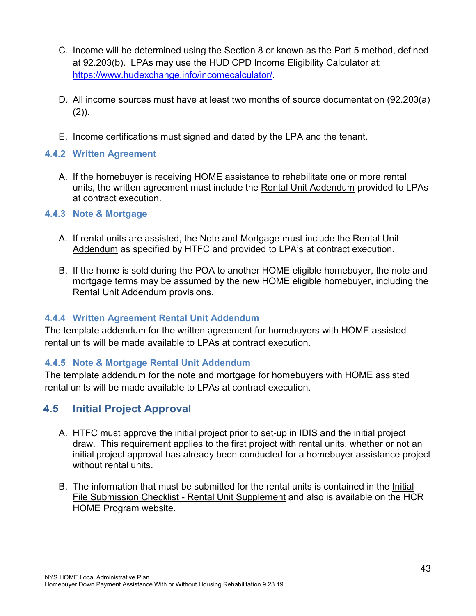- C. Income will be determined using the Section 8 or known as the Part 5 method, defined at 92.203(b). LPAs may use the HUD CPD Income Eligibility Calculator at: [https://www.hudexchange.info/incomecalculator/.](https://www.hudexchange.info/incomecalculator/)
- D. All income sources must have at least two months of source documentation (92.203(a)  $(2)$ ).
- E. Income certifications must signed and dated by the LPA and the tenant.

#### <span id="page-42-0"></span>**4.4.2 Written Agreement**

A. If the homebuyer is receiving HOME assistance to rehabilitate one or more rental units, the written agreement must include the Rental Unit Addendum provided to LPAs at contract execution.

#### <span id="page-42-1"></span>**4.4.3 Note & Mortgage**

- A. If rental units are assisted, the Note and Mortgage must include the Rental Unit Addendum as specified by HTFC and provided to LPA's at contract execution.
- B. If the home is sold during the POA to another HOME eligible homebuyer, the note and mortgage terms may be assumed by the new HOME eligible homebuyer, including the Rental Unit Addendum provisions.

#### <span id="page-42-2"></span>**4.4.4 Written Agreement Rental Unit Addendum**

The template addendum for the written agreement for homebuyers with HOME assisted rental units will be made available to LPAs at contract execution.

#### <span id="page-42-3"></span>**4.4.5 Note & Mortgage Rental Unit Addendum**

The template addendum for the note and mortgage for homebuyers with HOME assisted rental units will be made available to LPAs at contract execution.

## <span id="page-42-4"></span>**4.5 Initial Project Approval**

- A. HTFC must approve the initial project prior to set-up in IDIS and the initial project draw. This requirement applies to the first project with rental units, whether or not an initial project approval has already been conducted for a homebuyer assistance project without rental units.
- B. The information that must be submitted for the rental units is contained in the Initial File Submission Checklist - Rental Unit Supplement and also is available on the HCR HOME Program website.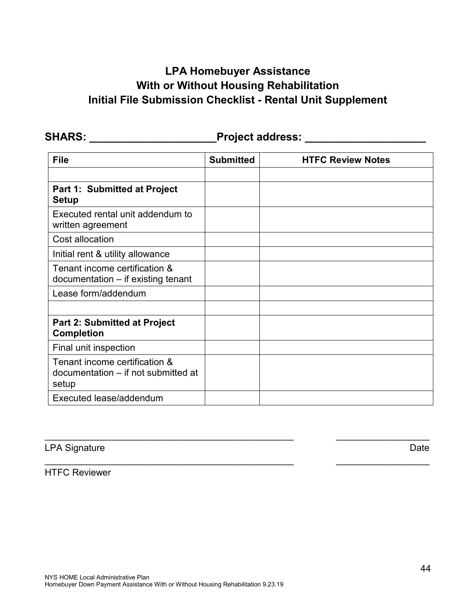## **LPA Homebuyer Assistance With or Without Housing Rehabilitation Initial File Submission Checklist - Rental Unit Supplement**

SHARS: \_\_\_\_\_\_\_\_\_\_\_\_\_\_\_\_\_\_\_\_\_\_\_\_Project address: \_\_\_\_\_\_\_\_\_\_\_\_\_\_\_\_\_\_\_\_\_\_\_\_\_\_\_\_\_\_\_\_

| <b>File</b>                                                                   | <b>Submitted</b> | <b>HTFC Review Notes</b> |
|-------------------------------------------------------------------------------|------------------|--------------------------|
|                                                                               |                  |                          |
| <b>Part 1: Submitted at Project</b><br><b>Setup</b>                           |                  |                          |
| Executed rental unit addendum to<br>written agreement                         |                  |                          |
| Cost allocation                                                               |                  |                          |
| Initial rent & utility allowance                                              |                  |                          |
| Tenant income certification &<br>$documentation - if existing tenant$         |                  |                          |
| Lease form/addendum                                                           |                  |                          |
|                                                                               |                  |                          |
| <b>Part 2: Submitted at Project</b><br><b>Completion</b>                      |                  |                          |
| Final unit inspection                                                         |                  |                          |
| Tenant income certification &<br>documentation – if not submitted at<br>setup |                  |                          |
| Executed lease/addendum                                                       |                  |                          |

 $\overline{a}$  , and the contribution of the contribution of the contribution of the contribution of  $\overline{a}$ 

 $\overline{a}$  , and the contribution of the contribution of the contribution of the contribution of  $\overline{a}$ 

## LPA Signature Date

HTFC Reviewer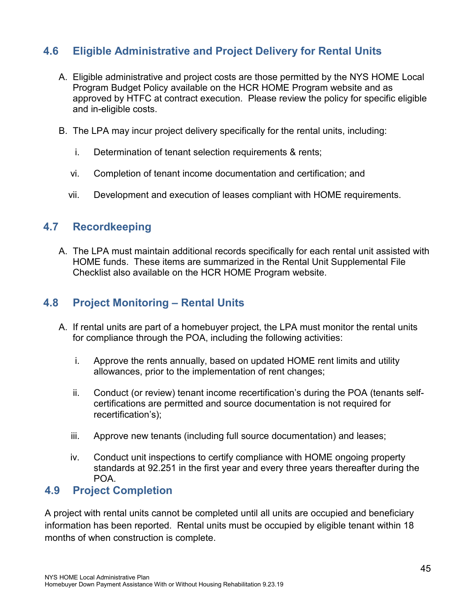## <span id="page-44-0"></span>**4.6 Eligible Administrative and Project Delivery for Rental Units**

- A. Eligible administrative and project costs are those permitted by the NYS HOME Local Program Budget Policy available on the HCR HOME Program website and as approved by HTFC at contract execution. Please review the policy for specific eligible and in-eligible costs.
- B. The LPA may incur project delivery specifically for the rental units, including:
	- i. Determination of tenant selection requirements & rents;
	- vi. Completion of tenant income documentation and certification; and
	- vii. Development and execution of leases compliant with HOME requirements.

## <span id="page-44-1"></span>**4.7 Recordkeeping**

A. The LPA must maintain additional records specifically for each rental unit assisted with HOME funds. These items are summarized in the Rental Unit Supplemental File Checklist also available on the HCR HOME Program website.

## <span id="page-44-2"></span>**4.8 Project Monitoring – Rental Units**

- A. If rental units are part of a homebuyer project, the LPA must monitor the rental units for compliance through the POA, including the following activities:
	- i. Approve the rents annually, based on updated HOME rent limits and utility allowances, prior to the implementation of rent changes;
	- ii. Conduct (or review) tenant income recertification's during the POA (tenants selfcertifications are permitted and source documentation is not required for recertification's);
	- iii. Approve new tenants (including full source documentation) and leases;
	- iv. Conduct unit inspections to certify compliance with HOME ongoing property standards at 92.251 in the first year and every three years thereafter during the POA.

#### **4.9 Project Completion**

A project with rental units cannot be completed until all units are occupied and beneficiary information has been reported. Rental units must be occupied by eligible tenant within 18 months of when construction is complete.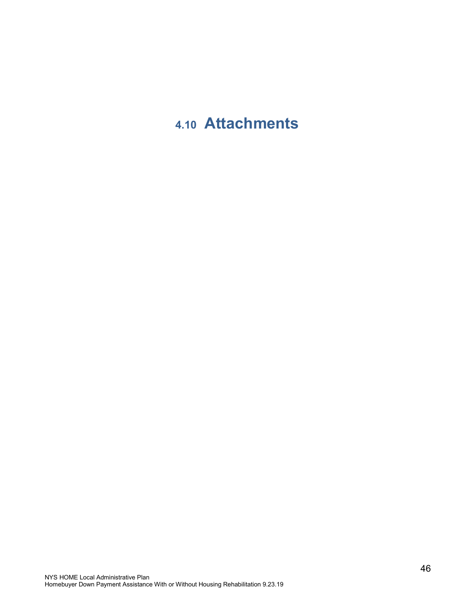# <span id="page-45-0"></span>**4.10 Attachments**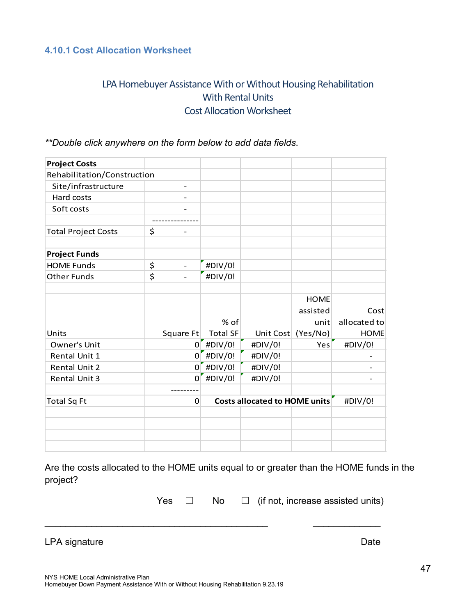#### <span id="page-46-0"></span>**4.10.1 Cost Allocation Worksheet**

## LPA Homebuyer Assistance With or Without Housing Rehabilitation With Rental Units Cost Allocation Worksheet

*\*\*Double click anywhere on the form below to add data fields*.

| <b>Project Costs</b>        |                         |                 |                               |             |              |
|-----------------------------|-------------------------|-----------------|-------------------------------|-------------|--------------|
| Rehabilitation/Construction |                         |                 |                               |             |              |
| Site/infrastructure         |                         |                 |                               |             |              |
| Hard costs                  |                         |                 |                               |             |              |
| Soft costs                  |                         |                 |                               |             |              |
|                             |                         |                 |                               |             |              |
| <b>Total Project Costs</b>  | \$                      |                 |                               |             |              |
| <b>Project Funds</b>        |                         |                 |                               |             |              |
| <b>HOME Funds</b>           | \$<br>$\qquad \qquad -$ | #DIV/0!         |                               |             |              |
| <b>Other Funds</b>          | \$                      | #DIV/0!         |                               |             |              |
|                             |                         |                 |                               |             |              |
|                             |                         |                 |                               | <b>HOME</b> |              |
|                             |                         |                 |                               | assisted    | Cost         |
|                             |                         | % of            |                               | unit        | allocated to |
| Units                       | Square Ft               | <b>Total SF</b> | Unit Cost                     | (Yes/No)    | <b>HOME</b>  |
| Owner's Unit                |                         | $0$ #DIV/0!     | #DIV/0!                       | Yes         | #DIV/0!      |
| Rental Unit 1               |                         | $0$ #DIV/0!     | #DIV/0!                       |             |              |
| Rental Unit 2               |                         | $0$ #DIV/0!     | #DIV/0!                       |             |              |
| Rental Unit 3               | 0 <sup>1</sup>          | #DIV/0!         | #DIV/0!                       |             |              |
|                             |                         |                 |                               |             |              |
| <b>Total Sq Ft</b>          | $\Omega$                |                 | Costs allocated to HOME units |             | #DIV/0!      |
|                             |                         |                 |                               |             |              |
|                             |                         |                 |                               |             |              |
|                             |                         |                 |                               |             |              |
|                             |                         |                 |                               |             |              |
|                             |                         |                 |                               |             |              |

Are the costs allocated to the HOME units equal to or greater than the HOME funds in the project?

\_\_\_\_\_\_\_\_\_\_\_\_\_\_\_\_\_\_\_\_\_\_\_\_\_\_\_\_\_\_\_\_\_\_\_\_\_\_\_\_\_\_\_ \_\_\_\_\_\_\_\_\_\_\_\_\_

| Yes |  | - No |  |  | $\Box$ (if not, increase assisted units) |  |  |
|-----|--|------|--|--|------------------------------------------|--|--|
|-----|--|------|--|--|------------------------------------------|--|--|

LPA signature Date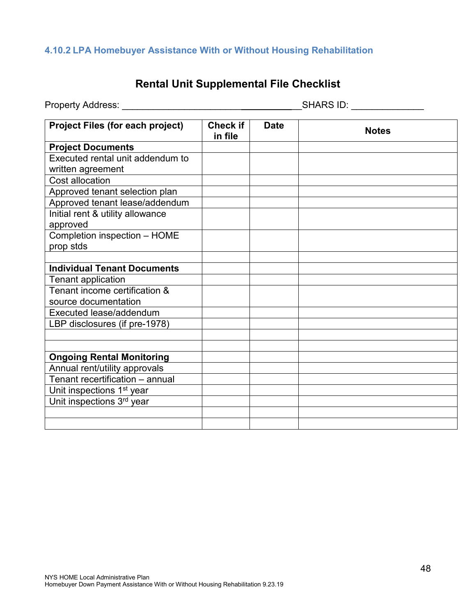## <span id="page-47-0"></span>**4.10.2 LPA Homebuyer Assistance With or Without Housing Rehabilitation**

## **Rental Unit Supplemental File Checklist**

Property Address: \_\_\_\_\_\_\_\_\_\_\_\_\_\_\_\_\_\_\_\_\_\_\_ \_\_SHARS ID: \_\_\_\_\_\_\_\_\_\_\_\_\_\_

| <b>Project Files (for each project)</b>      | <b>Check if</b><br>in file | <b>Date</b> | <b>Notes</b> |
|----------------------------------------------|----------------------------|-------------|--------------|
| <b>Project Documents</b>                     |                            |             |              |
| Executed rental unit addendum to             |                            |             |              |
| written agreement                            |                            |             |              |
| Cost allocation                              |                            |             |              |
| Approved tenant selection plan               |                            |             |              |
| Approved tenant lease/addendum               |                            |             |              |
| Initial rent & utility allowance<br>approved |                            |             |              |
| Completion inspection - HOME<br>prop stds    |                            |             |              |
|                                              |                            |             |              |
| <b>Individual Tenant Documents</b>           |                            |             |              |
| <b>Tenant application</b>                    |                            |             |              |
| Tenant income certification &                |                            |             |              |
| source documentation                         |                            |             |              |
| Executed lease/addendum                      |                            |             |              |
| LBP disclosures (if pre-1978)                |                            |             |              |
|                                              |                            |             |              |
|                                              |                            |             |              |
| <b>Ongoing Rental Monitoring</b>             |                            |             |              |
| Annual rent/utility approvals                |                            |             |              |
| Tenant recertification - annual              |                            |             |              |
| Unit inspections 1 <sup>st</sup> year        |                            |             |              |
| Unit inspections 3rd year                    |                            |             |              |
|                                              |                            |             |              |
|                                              |                            |             |              |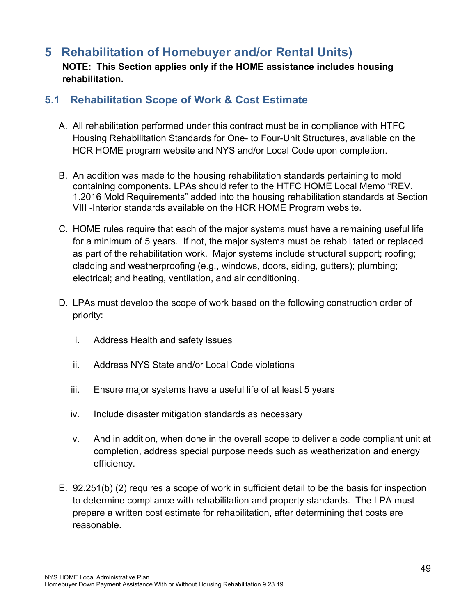## <span id="page-48-0"></span>**5 Rehabilitation of Homebuyer and/or Rental Units) NOTE: This Section applies only if the HOME assistance includes housing rehabilitation.**

## <span id="page-48-1"></span>**5.1 Rehabilitation Scope of Work & Cost Estimate**

- A. All rehabilitation performed under this contract must be in compliance with HTFC Housing Rehabilitation Standards for One- to Four-Unit Structures, available on the HCR HOME program website and NYS and/or Local Code upon completion.
- B. An addition was made to the housing rehabilitation standards pertaining to mold containing components. LPAs should refer to the HTFC HOME Local Memo "REV. 1.2016 Mold Requirements" added into the housing rehabilitation standards at Section VIII -Interior standards available on the HCR HOME Program website.
- C. HOME rules require that each of the major systems must have a remaining useful life for a minimum of 5 years. If not, the major systems must be rehabilitated or replaced as part of the rehabilitation work. Major systems include structural support; roofing; cladding and weatherproofing (e.g., windows, doors, siding, gutters); plumbing; electrical; and heating, ventilation, and air conditioning.
- D. LPAs must develop the scope of work based on the following construction order of priority:
	- i. Address Health and safety issues
	- ii. Address NYS State and/or Local Code violations
	- iii. Ensure major systems have a useful life of at least 5 years
	- iv. Include disaster mitigation standards as necessary
	- v. And in addition, when done in the overall scope to deliver a code compliant unit at completion, address special purpose needs such as weatherization and energy efficiency.
- E. 92.251(b) (2) requires a scope of work in sufficient detail to be the basis for inspection to determine compliance with rehabilitation and property standards. The LPA must prepare a written cost estimate for rehabilitation, after determining that costs are reasonable.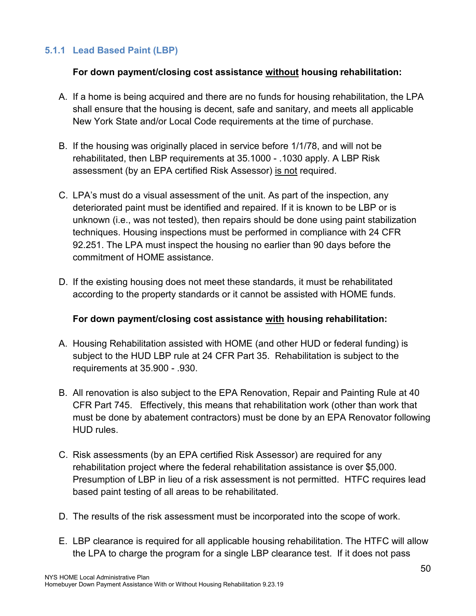#### <span id="page-49-0"></span>**5.1.1 Lead Based Paint (LBP)**

#### **For down payment/closing cost assistance without housing rehabilitation:**

- A. If a home is being acquired and there are no funds for housing rehabilitation, the LPA shall ensure that the housing is decent, safe and sanitary, and meets all applicable New York State and/or Local Code requirements at the time of purchase.
- B. If the housing was originally placed in service before 1/1/78, and will not be rehabilitated, then LBP requirements at 35.1000 - .1030 apply. A LBP Risk assessment (by an EPA certified Risk Assessor) is not required.
- C. LPA's must do a visual assessment of the unit. As part of the inspection, any deteriorated paint must be identified and repaired. If it is known to be LBP or is unknown (i.e., was not tested), then repairs should be done using paint stabilization techniques. Housing inspections must be performed in compliance with 24 CFR 92.251. The LPA must inspect the housing no earlier than 90 days before the commitment of HOME assistance.
- D. If the existing housing does not meet these standards, it must be rehabilitated according to the property standards or it cannot be assisted with HOME funds.

#### **For down payment/closing cost assistance with housing rehabilitation:**

- A. Housing Rehabilitation assisted with HOME (and other HUD or federal funding) is subject to the HUD LBP rule at 24 CFR Part 35. Rehabilitation is subject to the requirements at 35.900 - .930.
- B. All renovation is also subject to the EPA Renovation, Repair and Painting Rule at 40 CFR Part 745. Effectively, this means that rehabilitation work (other than work that must be done by abatement contractors) must be done by an EPA Renovator following HUD rules.
- C. Risk assessments (by an EPA certified Risk Assessor) are required for any rehabilitation project where the federal rehabilitation assistance is over \$5,000. Presumption of LBP in lieu of a risk assessment is not permitted. HTFC requires lead based paint testing of all areas to be rehabilitated.
- D. The results of the risk assessment must be incorporated into the scope of work.
- E. LBP clearance is required for all applicable housing rehabilitation. The HTFC will allow the LPA to charge the program for a single LBP clearance test. If it does not pass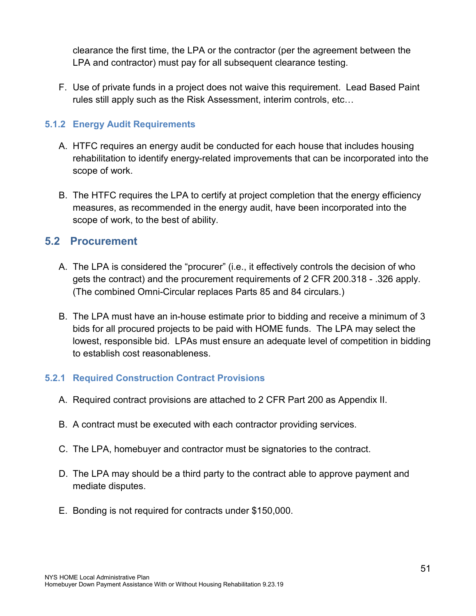clearance the first time, the LPA or the contractor (per the agreement between the LPA and contractor) must pay for all subsequent clearance testing.

F. Use of private funds in a project does not waive this requirement. Lead Based Paint rules still apply such as the Risk Assessment, interim controls, etc…

#### <span id="page-50-0"></span>**5.1.2 Energy Audit Requirements**

- A. HTFC requires an energy audit be conducted for each house that includes housing rehabilitation to identify energy-related improvements that can be incorporated into the scope of work.
- B. The HTFC requires the LPA to certify at project completion that the energy efficiency measures, as recommended in the energy audit, have been incorporated into the scope of work, to the best of ability.

## <span id="page-50-1"></span>**5.2 Procurement**

- A. The LPA is considered the "procurer" (i.e., it effectively controls the decision of who gets the contract) and the procurement requirements of 2 CFR 200.318 - .326 apply. (The combined Omni-Circular replaces Parts 85 and 84 circulars.)
- B. The LPA must have an in-house estimate prior to bidding and receive a minimum of 3 bids for all procured projects to be paid with HOME funds. The LPA may select the lowest, responsible bid. LPAs must ensure an adequate level of competition in bidding to establish cost reasonableness.

#### <span id="page-50-2"></span>**5.2.1 Required Construction Contract Provisions**

- A. Required contract provisions are attached to 2 CFR Part 200 as Appendix II.
- B. A contract must be executed with each contractor providing services.
- C. The LPA, homebuyer and contractor must be signatories to the contract.
- D. The LPA may should be a third party to the contract able to approve payment and mediate disputes.
- E. Bonding is not required for contracts under \$150,000.